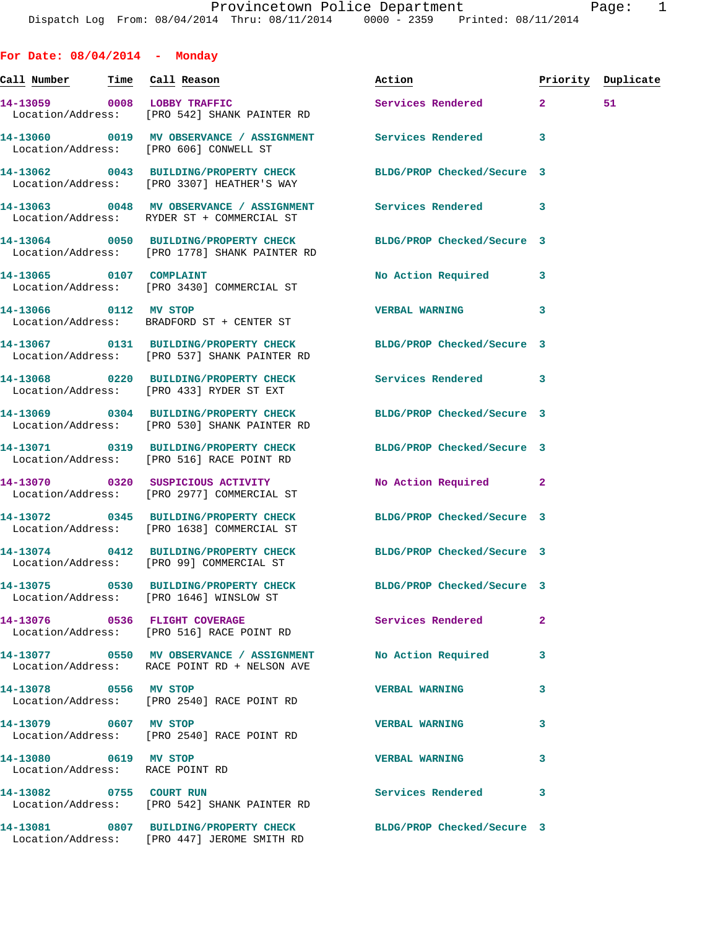**For Date: 08/04/2014 - Monday**

| Call Number Time Call Reason                             |                                                                                                                  | Action                     |              | Priority Duplicate |
|----------------------------------------------------------|------------------------------------------------------------------------------------------------------------------|----------------------------|--------------|--------------------|
| 14-13059 0008 LOBBY TRAFFIC                              | Location/Address: [PRO 542] SHANK PAINTER RD                                                                     | Services Rendered 2        |              | 51                 |
|                                                          | 14-13060 0019 MV OBSERVANCE / ASSIGNMENT Services Rendered<br>Location/Address: [PRO 606] CONWELL ST             |                            | 3            |                    |
|                                                          | 14-13062 0043 BUILDING/PROPERTY CHECK<br>Location/Address: [PRO 3307] HEATHER'S WAY                              | BLDG/PROP Checked/Secure 3 |              |                    |
|                                                          | 14-13063 0048 MV OBSERVANCE / ASSIGNMENT Services Rendered<br>Location/Address: RYDER ST + COMMERCIAL ST         |                            | 3            |                    |
|                                                          | 14-13064 0050 BUILDING/PROPERTY CHECK<br>Location/Address: [PRO 1778] SHANK PAINTER RD                           | BLDG/PROP Checked/Secure 3 |              |                    |
|                                                          | 14-13065 0107 COMPLAINT<br>Location/Address: [PRO 3430] COMMERCIAL ST                                            | No Action Required         | 3            |                    |
| 14-13066 0112 MV STOP                                    | Location/Address: BRADFORD ST + CENTER ST                                                                        | <b>VERBAL WARNING</b>      | 3            |                    |
|                                                          | 14-13067 0131 BUILDING/PROPERTY CHECK BLDG/PROP Checked/Secure 3<br>Location/Address: [PRO 537] SHANK PAINTER RD |                            |              |                    |
|                                                          | 14-13068 0220 BUILDING/PROPERTY CHECK Services Rendered<br>Location/Address: [PRO 433] RYDER ST EXT              |                            | 3            |                    |
|                                                          | 14-13069 0304 BUILDING/PROPERTY CHECK BLDG/PROP Checked/Secure 3<br>Location/Address: [PRO 530] SHANK PAINTER RD |                            |              |                    |
|                                                          | 14-13071 0319 BUILDING/PROPERTY CHECK BLDG/PROP Checked/Secure 3<br>Location/Address: [PRO 516] RACE POINT RD    |                            |              |                    |
|                                                          | 14-13070 0320 SUSPICIOUS ACTIVITY<br>Location/Address: [PRO 2977] COMMERCIAL ST                                  | No Action Required 2       |              |                    |
|                                                          | 14-13072 0345 BUILDING/PROPERTY CHECK<br>Location/Address: [PRO 1638] COMMERCIAL ST                              | BLDG/PROP Checked/Secure 3 |              |                    |
|                                                          | 14-13074 0412 BUILDING/PROPERTY CHECK<br>Location/Address: [PRO 99] COMMERCIAL ST                                | BLDG/PROP Checked/Secure 3 |              |                    |
|                                                          | 14-13075 0530 BUILDING/PROPERTY CHECK<br>Location/Address: [PRO 1646] WINSLOW ST                                 | BLDG/PROP Checked/Secure 3 |              |                    |
|                                                          | 14-13076 0536 FLIGHT COVERAGE<br>Location/Address: [PRO 516] RACE POINT RD                                       | Services Rendered          | $\mathbf{2}$ |                    |
|                                                          | 14-13077 0550 MV OBSERVANCE / ASSIGNMENT<br>Location/Address: RACE POINT RD + NELSON AVE                         | No Action Required         | 3            |                    |
| 14-13078 0556 MV STOP                                    | Location/Address: [PRO 2540] RACE POINT RD                                                                       | <b>VERBAL WARNING</b>      | 3            |                    |
| 14-13079 0607 MV STOP                                    | Location/Address: [PRO 2540] RACE POINT RD                                                                       | <b>VERBAL WARNING</b>      | 3            |                    |
| 14-13080 0619 MV STOP<br>Location/Address: RACE POINT RD |                                                                                                                  | <b>VERBAL WARNING</b>      | 3            |                    |
|                                                          | 14-13082 0755 COURT RUN<br>Location/Address: [PRO 542] SHANK PAINTER RD                                          | Services Rendered          | 3            |                    |
|                                                          | 14-13081 0807 BUILDING/PROPERTY CHECK BLDG/PROP Checked/Secure 3<br>Location/Address: [PRO 447] JEROME SMITH RD  |                            |              |                    |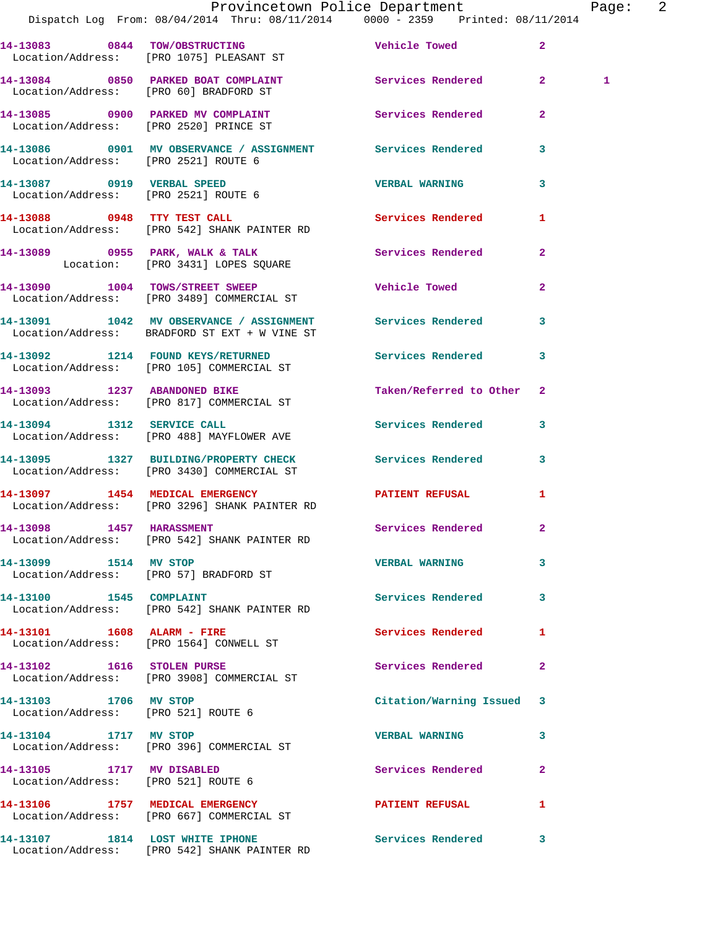|                                                              | Provincetown Police Department<br>Dispatch Log From: 08/04/2014 Thru: 08/11/2014   0000 - 2359   Printed: 08/11/2014 |                           |                | Page: 2      |  |
|--------------------------------------------------------------|----------------------------------------------------------------------------------------------------------------------|---------------------------|----------------|--------------|--|
|                                                              | 14-13083 0844 TOW/OBSTRUCTING Vehicle Towed<br>Location/Address: [PRO 1075] PLEASANT ST                              |                           | $\mathbf{2}$   |              |  |
|                                                              | 14-13084 0850 PARKED BOAT COMPLAINT Services Rendered 2<br>Location/Address: [PRO 60] BRADFORD ST                    |                           |                | $\mathbf{1}$ |  |
|                                                              | 14-13085 0900 PARKED MV COMPLAINT Services Rendered<br>Location/Address: [PRO 2520] PRINCE ST                        |                           | $\overline{2}$ |              |  |
| Location/Address: [PRO 2521] ROUTE 6                         | 14-13086 0901 MV OBSERVANCE / ASSIGNMENT Services Rendered 3                                                         |                           |                |              |  |
| Location/Address: [PRO 2521] ROUTE 6                         | 14-13087 0919 VERBAL SPEED                                                                                           | <b>VERBAL WARNING</b>     | 3              |              |  |
|                                                              | 14-13088 0948 TTY TEST CALL<br>Location/Address: [PRO 542] SHANK PAINTER RD                                          | Services Rendered 1       |                |              |  |
|                                                              | 14-13089 0955 PARK, WALK & TALK (Services Rendered 2)<br>Location: [PRO 3431] LOPES SQUARE                           |                           |                |              |  |
|                                                              | 14-13090 1004 TOWS/STREET SWEEP Wehicle Towed<br>Location/Address: [PRO 3489] COMMERCIAL ST                          |                           | $\mathbf{2}$   |              |  |
|                                                              | 14-13091 1042 MV OBSERVANCE / ASSIGNMENT Services Rendered 3<br>Location/Address: BRADFORD ST EXT + W VINE ST        |                           |                |              |  |
|                                                              | 14-13092 1214 FOUND KEYS/RETURNED Services Rendered 3<br>Location/Address: [PRO 105] COMMERCIAL ST                   |                           |                |              |  |
|                                                              | 14-13093 1237 ABANDONED BIKE<br>Location/Address: [PRO 817] COMMERCIAL ST                                            | Taken/Referred to Other 2 |                |              |  |
|                                                              | 14-13094 1312 SERVICE CALL<br>Location/Address: [PRO 488] MAYFLOWER AVE                                              | Services Rendered 3       |                |              |  |
|                                                              | 14-13095 1327 BUILDING/PROPERTY CHECK Services Rendered 3<br>Location/Address: [PRO 3430] COMMERCIAL ST              |                           |                |              |  |
|                                                              | 14-13097 1454 MEDICAL EMERGENCY PATIENT REFUSAL<br>Location/Address: [PRO 3296] SHANK PAINTER RD                     |                           | 1              |              |  |
| 14-13098 1457 HARASSMENT                                     | Location/Address: [PRO 542] SHANK PAINTER RD                                                                         | Services Rendered         | $\mathbf{2}$   |              |  |
| 14-13099 1514 MV STOP                                        | Location/Address: [PRO 57] BRADFORD ST                                                                               | VERBAL WARNING 3          |                |              |  |
| 14-13100 1545 COMPLAINT                                      | Location/Address: [PRO 542] SHANK PAINTER RD                                                                         | Services Rendered 3       |                |              |  |
| 14-13101 1608 ALARM - FIRE                                   | Location/Address: [PRO 1564] CONWELL ST                                                                              | Services Rendered         | 1              |              |  |
|                                                              | 14-13102 1616 STOLEN PURSE<br>Location/Address: [PRO 3908] COMMERCIAL ST                                             | Services Rendered         | $\mathbf{2}$   |              |  |
| 14-13103 1706 MV STOP<br>Location/Address: [PRO 521] ROUTE 6 |                                                                                                                      | Citation/Warning Issued 3 |                |              |  |
| 14-13104 1717 MV STOP                                        | Location/Address: [PRO 396] COMMERCIAL ST                                                                            | <b>VERBAL WARNING</b>     | 3              |              |  |
| Location/Address: [PRO 521] ROUTE 6                          | 14-13105 1717 MV DISABLED                                                                                            | Services Rendered         | $\mathbf{2}$   |              |  |
|                                                              | 14-13106 1757 MEDICAL EMERGENCY<br>Location/Address: [PRO 667] COMMERCIAL ST                                         | <b>PATIENT REFUSAL</b>    | $\mathbf{1}$   |              |  |
| 14-13107 1814 LOST WHITE IPHONE                              |                                                                                                                      | Services Rendered 3       |                |              |  |

Location/Address: [PRO 542] SHANK PAINTER RD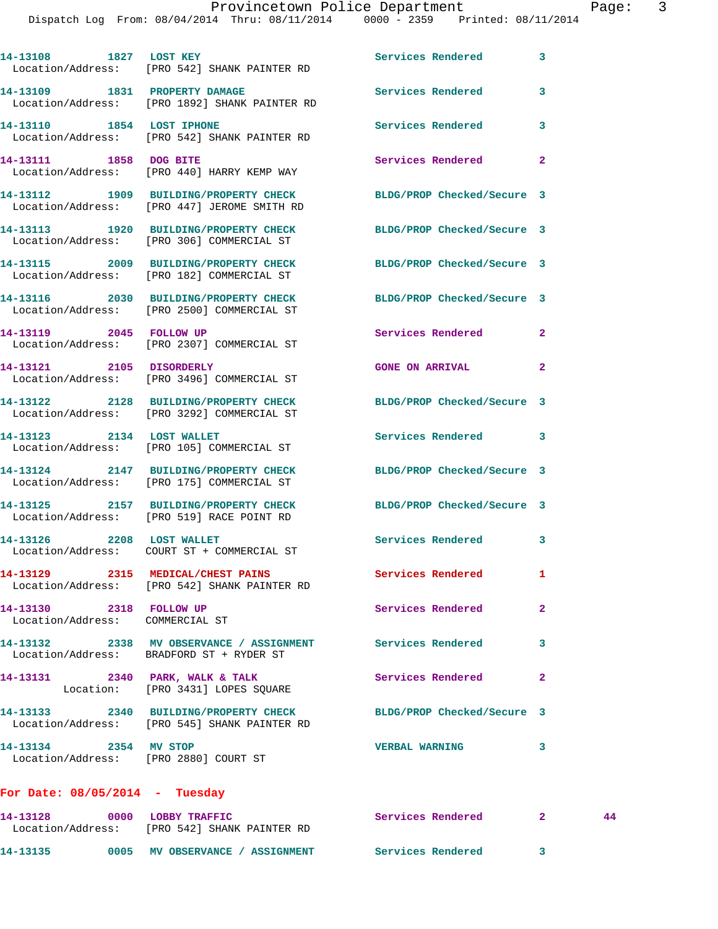|                                                            | Dispatch Log From: 08/04/2014 Thru: 08/11/2014 0000 - 2359 Printed: 08/11/2014                                  | Provincetown Police Department |                | Page: 3 |  |
|------------------------------------------------------------|-----------------------------------------------------------------------------------------------------------------|--------------------------------|----------------|---------|--|
|                                                            | 14-13108 1827 LOST KEY<br>Location/Address: [PRO 542] SHANK PAINTER RD                                          | Services Rendered              | 3              |         |  |
|                                                            | 14-13109 1831 PROPERTY DAMAGE<br>Location/Address: [PRO 1892] SHANK PAINTER RD                                  | Services Rendered              | 3              |         |  |
|                                                            | 14-13110 1854 LOST IPHONE<br>Location/Address: [PRO 542] SHANK PAINTER RD                                       | Services Rendered              | 3              |         |  |
|                                                            | 14-13111 1858 DOG BITE<br>Location/Address: [PRO 440] HARRY KEMP WAY                                            | Services Rendered              | $\overline{2}$ |         |  |
|                                                            | 14-13112 1909 BUILDING/PROPERTY CHECK BLDG/PROP Checked/Secure 3<br>Location/Address: [PRO 447] JEROME SMITH RD |                                |                |         |  |
|                                                            | 14-13113 1920 BUILDING/PROPERTY CHECK BLDG/PROP Checked/Secure 3<br>Location/Address: [PRO 306] COMMERCIAL ST   |                                |                |         |  |
|                                                            | 14-13115 2009 BUILDING/PROPERTY CHECK BLDG/PROP Checked/Secure 3<br>Location/Address: [PRO 182] COMMERCIAL ST   |                                |                |         |  |
|                                                            | 14-13116 2030 BUILDING/PROPERTY CHECK BLDG/PROP Checked/Secure 3<br>Location/Address: [PRO 2500] COMMERCIAL ST  |                                |                |         |  |
| 14-13119 2045 FOLLOW UP                                    | Location/Address: [PRO 2307] COMMERCIAL ST                                                                      | Services Rendered              | $\mathbf{2}$   |         |  |
|                                                            | 14-13121 2105 DISORDERLY<br>Location/Address: [PRO 3496] COMMERCIAL ST                                          | <b>GONE ON ARRIVAL</b>         | 2              |         |  |
|                                                            | 14-13122 2128 BUILDING/PROPERTY CHECK BLDG/PROP Checked/Secure 3<br>Location/Address: [PRO 3292] COMMERCIAL ST  |                                |                |         |  |
|                                                            | 14-13123 2134 LOST WALLET<br>Location/Address: [PRO 105] COMMERCIAL ST                                          | Services Rendered 3            |                |         |  |
|                                                            | 14-13124 2147 BUILDING/PROPERTY CHECK BLDG/PROP Checked/Secure 3<br>Location/Address: [PRO 175] COMMERCIAL ST   |                                |                |         |  |
|                                                            | 14-13125 2157 BUILDING/PROPERTY CHECK<br>Location/Address: [PRO 519] RACE POINT RD                              | BLDG/PROP Checked/Secure 3     |                |         |  |
| 14-13126 2208 LOST WALLET                                  | Location/Address: COURT ST + COMMERCIAL ST                                                                      | Services Rendered 3            |                |         |  |
|                                                            | 14-13129 2315 MEDICAL/CHEST PAINS Services Rendered<br>Location/Address: [PRO 542] SHANK PAINTER RD             |                                | $\mathbf{1}$   |         |  |
| 14-13130 2318 FOLLOW UP<br>Location/Address: COMMERCIAL ST |                                                                                                                 | Services Rendered              | $\mathbf{2}$   |         |  |
|                                                            | 14-13132 2338 MV OBSERVANCE / ASSIGNMENT Services Rendered<br>Location/Address: BRADFORD ST + RYDER ST          |                                | 3              |         |  |
|                                                            | 14-13131 2340 PARK, WALK & TALK<br>Location: [PRO 3431] LOPES SQUARE                                            | <b>Services Rendered</b>       | $\mathbf{2}$   |         |  |
|                                                            | 14-13133 2340 BUILDING/PROPERTY CHECK<br>Location/Address: [PRO 545] SHANK PAINTER RD                           | BLDG/PROP Checked/Secure 3     |                |         |  |
| 14-13134 2354 MV STOP                                      | Location/Address: [PRO 2880] COURT ST                                                                           | <b>VERBAL WARNING</b>          | 3              |         |  |
| For Date: $08/05/2014$ - Tuesday                           |                                                                                                                 |                                |                |         |  |
|                                                            | 14-13128 0000 LOBBY TRAFFIC<br>Location/Address: [PRO 542] SHANK PAINTER RD                                     | Services Rendered 2            |                | 44      |  |
|                                                            | 14-13135              0005     MV OBSERVANCE / ASSIGNMENT                 Services Rendered                     |                                | 3 <sup>7</sup> |         |  |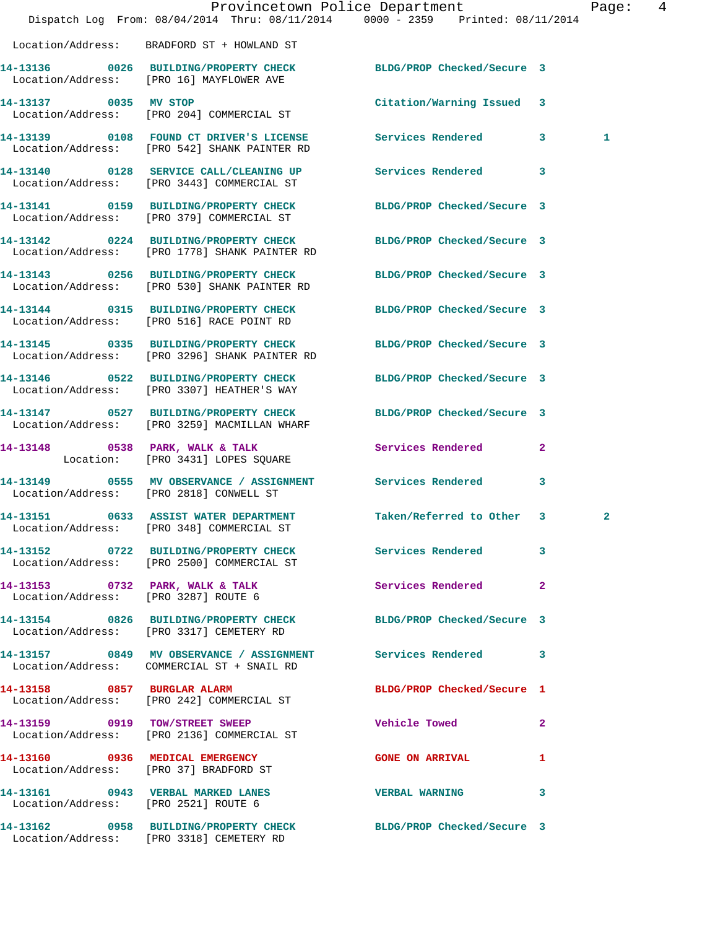|                                      | Dispatch Log From: 08/04/2014 Thru: 08/11/2014 0000 - 2359 Printed: 08/11/2014                               | Provincetown Police Department |              | Page:        | $\overline{4}$ |
|--------------------------------------|--------------------------------------------------------------------------------------------------------------|--------------------------------|--------------|--------------|----------------|
|                                      | Location/Address: BRADFORD ST + HOWLAND ST                                                                   |                                |              |              |                |
|                                      | 14-13136 0026 BUILDING/PROPERTY CHECK<br>Location/Address: [PRO 16] MAYFLOWER AVE                            | BLDG/PROP Checked/Secure 3     |              |              |                |
|                                      | 14-13137 0035 MV STOP<br>Location/Address: [PRO 204] COMMERCIAL ST                                           | Citation/Warning Issued 3      |              |              |                |
|                                      | 14-13139 0108 FOUND CT DRIVER'S LICENSE Services Rendered 3<br>Location/Address: [PRO 542] SHANK PAINTER RD  |                                |              | 1            |                |
|                                      | 14-13140 0128 SERVICE CALL/CLEANING UP Services Rendered 3<br>Location/Address: [PRO 3443] COMMERCIAL ST     |                                |              |              |                |
|                                      | 14-13141 0159 BUILDING/PROPERTY CHECK<br>Location/Address: [PRO 379] COMMERCIAL ST                           | BLDG/PROP Checked/Secure 3     |              |              |                |
|                                      | 14-13142 0224 BUILDING/PROPERTY CHECK<br>Location/Address: [PRO 1778] SHANK PAINTER RD                       | BLDG/PROP Checked/Secure 3     |              |              |                |
|                                      | 14-13143 0256 BUILDING/PROPERTY CHECK<br>Location/Address: [PRO 530] SHANK PAINTER RD                        | BLDG/PROP Checked/Secure 3     |              |              |                |
|                                      | 14-13144 0315 BUILDING/PROPERTY CHECK<br>Location/Address: [PRO 516] RACE POINT RD                           | BLDG/PROP Checked/Secure 3     |              |              |                |
|                                      | 14-13145 0335 BUILDING/PROPERTY CHECK<br>Location/Address: [PRO 3296] SHANK PAINTER RD                       | BLDG/PROP Checked/Secure 3     |              |              |                |
|                                      | 14-13146 0522 BUILDING/PROPERTY CHECK<br>Location/Address: [PRO 3307] HEATHER'S WAY                          | BLDG/PROP Checked/Secure 3     |              |              |                |
|                                      | 14-13147 0527 BUILDING/PROPERTY CHECK<br>Location/Address: [PRO 3259] MACMILLAN WHARF                        | BLDG/PROP Checked/Secure 3     |              |              |                |
|                                      | 14-13148 0538 PARK, WALK & TALK<br>Location: [PRO 3431] LOPES SQUARE                                         | Services Rendered              | $\mathbf{2}$ |              |                |
|                                      | 14-13149 0555 MV OBSERVANCE / ASSIGNMENT Services Rendered<br>Location/Address: [PRO 2818] CONWELL ST        |                                | 3            |              |                |
|                                      | 14-13151 0633 ASSIST WATER DEPARTMENT Taken/Referred to Other 3<br>Location/Address: [PRO 348] COMMERCIAL ST |                                |              | $\mathbf{2}$ |                |
|                                      | 14-13152 0722 BUILDING/PROPERTY CHECK Services Rendered 3<br>Location/Address: [PRO 2500] COMMERCIAL ST      |                                |              |              |                |
|                                      | 14-13153 0732 PARK, WALK & TALK Services Rendered<br>Location/Address: [PRO 3287] ROUTE 6                    |                                | $\mathbf{2}$ |              |                |
|                                      | 14-13154 0826 BUILDING/PROPERTY CHECK BLDG/PROP Checked/Secure 3<br>Location/Address: [PRO 3317] CEMETERY RD |                                |              |              |                |
|                                      | 14-13157 0849 MV OBSERVANCE / ASSIGNMENT Services Rendered 3<br>Location/Address: COMMERCIAL ST + SNAIL RD   |                                |              |              |                |
|                                      | 14-13158 0857 BURGLAR ALARM<br>Location/Address: [PRO 242] COMMERCIAL ST                                     | BLDG/PROP Checked/Secure 1     |              |              |                |
|                                      | 14-13159 0919 TOW/STREET SWEEP<br>Location/Address: [PRO 2136] COMMERCIAL ST                                 | <b>Vehicle Towed State</b>     | -2           |              |                |
|                                      | 14-13160 0936 MEDICAL EMERGENCY<br>Location/Address: [PRO 37] BRADFORD ST                                    | <b>GONE ON ARRIVAL</b>         | $\mathbf{1}$ |              |                |
| Location/Address: [PRO 2521] ROUTE 6 | 14-13161 0943 VERBAL MARKED LANES                                                                            | VERBAL WARNING 3               |              |              |                |
|                                      | 14-13162 0958 BUILDING/PROPERTY CHECK BLDG/PROP Checked/Secure 3<br>Location/Address: [PRO 3318] CEMETERY RD |                                |              |              |                |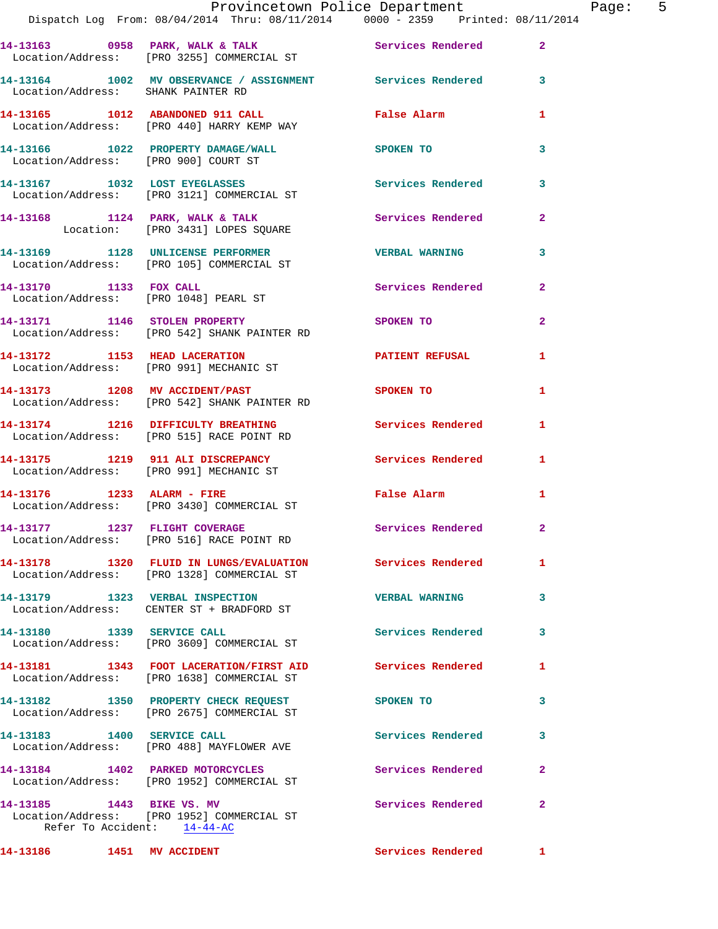|                                                          | Provincetown Police Department                                                                          |                          |                |
|----------------------------------------------------------|---------------------------------------------------------------------------------------------------------|--------------------------|----------------|
|                                                          | Dispatch Log From: 08/04/2014 Thru: 08/11/2014 0000 - 2359 Printed: 08/11/2014                          |                          |                |
|                                                          |                                                                                                         |                          | $\overline{2}$ |
| Location/Address: SHANK PAINTER RD                       | 14-13164 1002 MV OBSERVANCE / ASSIGNMENT Services Rendered                                              |                          | 3              |
|                                                          | 14-13165 1012 ABANDONED 911 CALL<br>Location/Address: [PRO 440] HARRY KEMP WAY                          | False Alarm              | 1              |
| Location/Address: [PRO 900] COURT ST                     | 14-13166 1022 PROPERTY DAMAGE/WALL SPOKEN TO                                                            |                          | 3              |
|                                                          | 14-13167 1032 LOST EYEGLASSES<br>Location/Address: [PRO 3121] COMMERCIAL ST                             | <b>Services Rendered</b> | 3              |
|                                                          | 14-13168 1124 PARK, WALK & TALK 1988 Services Rendered<br>Location: [PRO 3431] LOPES SQUARE             |                          | $\mathbf{2}$   |
|                                                          | 14-13169 1128 UNLICENSE PERFORMER THE VERBAL WARNING<br>Location/Address: [PRO 105] COMMERCIAL ST       |                          | 3              |
| 14-13170 1133 FOX CALL                                   | Location/Address: [PRO 1048] PEARL ST                                                                   | <b>Services Rendered</b> | $\mathbf{2}$   |
|                                                          | 14-13171 1146 STOLEN PROPERTY<br>Location/Address: [PRO 542] SHANK PAINTER RD                           | SPOKEN TO                | $\overline{a}$ |
|                                                          | 14-13172 1153 HEAD LACERATION<br>Location/Address: [PRO 991] MECHANIC ST                                | <b>PATIENT REFUSAL</b>   | 1              |
|                                                          | 14-13173 1208 MV ACCIDENT/PAST<br>Location/Address: [PRO 542] SHANK PAINTER RD                          | <b>SPOKEN TO</b>         | 1              |
|                                                          | 14-13174 1216 DIFFICULTY BREATHING<br>Location/Address: [PRO 515] RACE POINT RD                         | <b>Services Rendered</b> | 1              |
|                                                          | 14-13175 1219 911 ALI DISCREPANCY<br>Location/Address: [PRO 991] MECHANIC ST                            | Services Rendered        | 1              |
|                                                          | 14-13176    1233    ALARM - FIRE<br>Location/Address: [PRO 3430] COMMERCIAL ST                          | <b>False Alarm</b>       | $\mathbf{1}$   |
|                                                          | 14-13177 1237 FLIGHT COVERAGE<br>Location/Address: [PRO 516] RACE POINT RD                              | Services Rendered        |                |
|                                                          | 14-13178 1320 FLUID IN LUNGS/EVALUATION Services Rendered<br>Location/Address: [PRO 1328] COMMERCIAL ST |                          | 1              |
|                                                          | 14-13179 1323 VERBAL INSPECTION<br>Location/Address: CENTER ST + BRADFORD ST                            | <b>VERBAL WARNING</b>    | 3              |
|                                                          | 14-13180 1339 SERVICE CALL<br>Location/Address: [PRO 3609] COMMERCIAL ST                                | Services Rendered        | 3              |
|                                                          | 14-13181 1343 FOOT LACERATION/FIRST AID Services Rendered<br>Location/Address: [PRO 1638] COMMERCIAL ST |                          | 1              |
|                                                          | 14-13182 1350 PROPERTY CHECK REQUEST<br>Location/Address: [PRO 2675] COMMERCIAL ST                      | SPOKEN TO                | 3              |
| 14-13183 1400 SERVICE CALL                               | Location/Address: [PRO 488] MAYFLOWER AVE                                                               | <b>Services Rendered</b> | 3              |
|                                                          | 14-13184 1402 PARKED MOTORCYCLES<br>Location/Address: [PRO 1952] COMMERCIAL ST                          | Services Rendered        | 2              |
| 14-13185 1443 BIKE VS. MV<br>Refer To Accident: 14-44-AC | Location/Address: [PRO 1952] COMMERCIAL ST                                                              | Services Rendered        | $\mathbf{2}$   |
| 14-13186   1451   MV   ACCIDENT                          |                                                                                                         | Services Rendered        | $\mathbf{1}$   |

Page: 5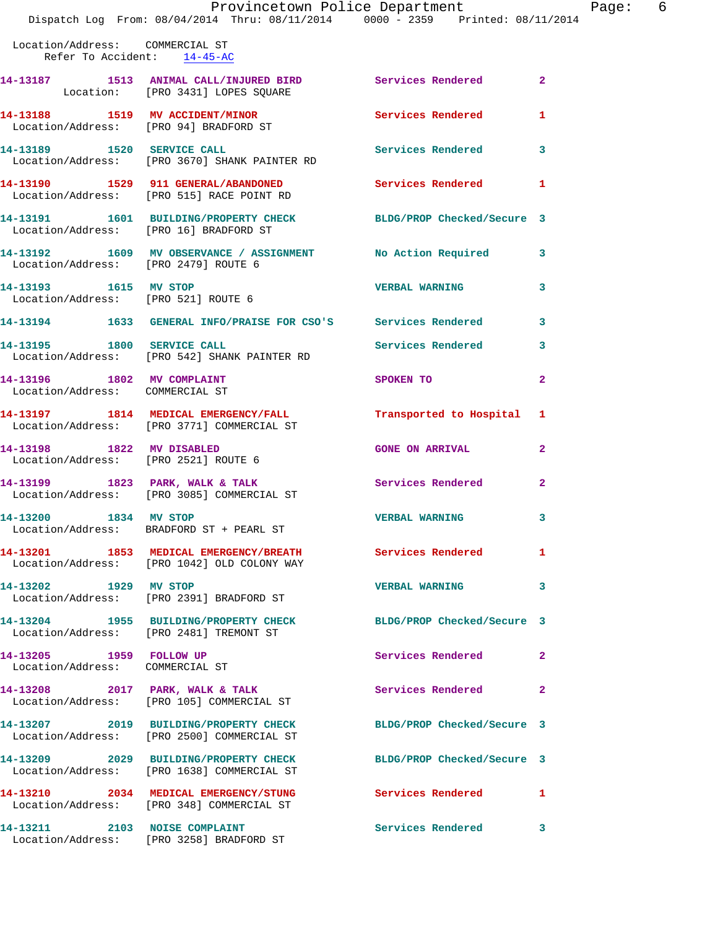## Provincetown Police Department The Page: 6

Dispatch Log From: 08/04/2014 Thru: 08/11/2014 0000 - 2359 Printed: 08/11/2014

| Location/Address: COMMERCIAL ST<br>Refer To Accident: 14-45-AC    |                                                                                                           |                                        |                |
|-------------------------------------------------------------------|-----------------------------------------------------------------------------------------------------------|----------------------------------------|----------------|
|                                                                   | 14-13187 1513 ANIMAL CALL/INJURED BIRD<br>Location: [PRO 3431] LOPES SQUARE                               | <b>Services Rendered 22 Services</b> 2 |                |
| 14-13188 1519 MV ACCIDENT/MINOR                                   | Location/Address: [PRO 94] BRADFORD ST                                                                    | Services Rendered                      | $\mathbf{1}$   |
|                                                                   | 14-13189    1520 SERVICE CALL<br>Location/Address: [PRO 3670] SHANK PAINTER RD                            | <b>Services Rendered</b>               | 3              |
|                                                                   | 14-13190    1529    911    GENERAL/ABANDONED<br>Location/Address: [PRO 515] RACE POINT RD                 | Services Rendered 1                    |                |
| Location/Address: [PRO 16] BRADFORD ST                            | 14-13191 1601 BUILDING/PROPERTY CHECK BLDG/PROP Checked/Secure 3                                          |                                        |                |
| Location/Address: [PRO 2479] ROUTE 6                              | 14-13192 1609 MV OBSERVANCE / ASSIGNMENT No Action Required                                               |                                        | 3              |
| 14-13193 1615 MV STOP<br>Location/Address: [PRO 521] ROUTE 6      |                                                                                                           | <b>VERBAL WARNING</b>                  | 3              |
|                                                                   | 14-13194 1633 GENERAL INFO/PRAISE FOR CSO'S Services Rendered                                             |                                        | 3              |
|                                                                   | 14-13195 1800 SERVICE CALL<br>Location/Address: [PRO 542] SHANK PAINTER RD                                | Services Rendered                      | 3              |
| 14-13196 1802 MV COMPLAINT<br>Location/Address: COMMERCIAL ST     |                                                                                                           | SPOKEN TO                              | $\overline{2}$ |
|                                                                   | 14-13197 1814 MEDICAL EMERGENCY/FALL<br>Location/Address: [PRO 3771] COMMERCIAL ST                        | Transported to Hospital 1              |                |
| 14-13198 1822 MV DISABLED<br>Location/Address: [PRO 2521] ROUTE 6 |                                                                                                           | <b>GONE ON ARRIVAL</b>                 | $\mathbf{2}$   |
|                                                                   | 14-13199 1823 PARK, WALK & TALK<br>Location/Address: [PRO 3085] COMMERCIAL ST                             | <b>Services Rendered</b>               | $\overline{2}$ |
| 14-13200 1834 MV STOP                                             | Location/Address: BRADFORD ST + PEARL ST                                                                  | <b>VERBAL WARNING</b>                  | 3              |
|                                                                   | 14-13201 1853 MEDICAL EMERGENCY/BREATH Services Rendered 1<br>Location/Address: [PRO 1042] OLD COLONY WAY |                                        |                |
| 14-13202 1929 MV STOP                                             | Location/Address: [PRO 2391] BRADFORD ST                                                                  | <b>VERBAL WARNING</b>                  | 3              |
|                                                                   | 14-13204 1955 BUILDING/PROPERTY CHECK<br>Location/Address: [PRO 2481] TREMONT ST                          | BLDG/PROP Checked/Secure 3             |                |
| 14-13205 1959 FOLLOW UP<br>Location/Address: COMMERCIAL ST        |                                                                                                           | Services Rendered                      | $\mathbf{2}$   |
|                                                                   | 14-13208 2017 PARK, WALK & TALK<br>Location/Address: [PRO 105] COMMERCIAL ST                              | <b>Services Rendered</b>               | $\mathbf{2}$   |
|                                                                   | 14-13207 2019 BUILDING/PROPERTY CHECK<br>Location/Address: [PRO 2500] COMMERCIAL ST                       | BLDG/PROP Checked/Secure 3             |                |
|                                                                   | 14-13209 2029 BUILDING/PROPERTY CHECK<br>Location/Address: [PRO 1638] COMMERCIAL ST                       | BLDG/PROP Checked/Secure 3             |                |
|                                                                   | 14-13210 2034 MEDICAL EMERGENCY/STUNG<br>Location/Address: [PRO 348] COMMERCIAL ST                        | <b>Services Rendered</b>               | $\mathbf{1}$   |
|                                                                   | 14-13211 2103 NOISE COMPLAINT<br>Location/Address: [PRO 3258] BRADFORD ST                                 | Services Rendered                      | 3              |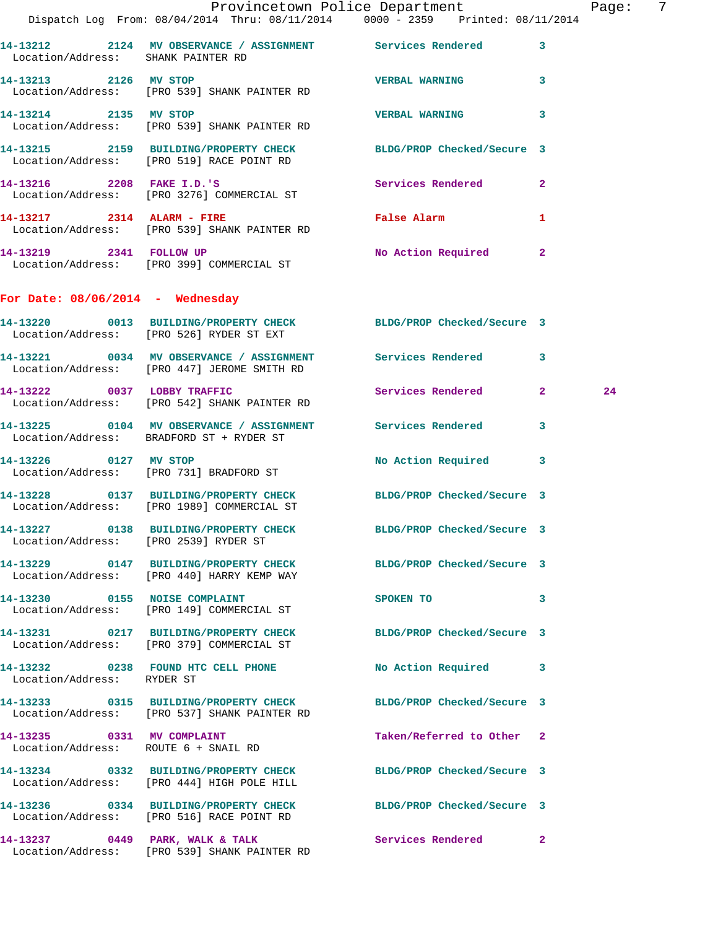|                                       | Provincetown Police Department Page: 7<br>Dispatch Log From: 08/04/2014 Thru: 08/11/2014   0000 - 2359   Printed: 08/11/2014 |                              |              |    |  |
|---------------------------------------|------------------------------------------------------------------------------------------------------------------------------|------------------------------|--------------|----|--|
| Location/Address: SHANK PAINTER RD    | 14-13212 2124 MV OBSERVANCE / ASSIGNMENT Services Rendered                                                                   |                              | $\mathbf{3}$ |    |  |
| 14-13213 2126 MV STOP                 | Location/Address: [PRO 539] SHANK PAINTER RD                                                                                 | <b>VERBAL WARNING 3</b>      |              |    |  |
| 14-13214 2135 MV STOP                 | Location/Address: [PRO 539] SHANK PAINTER RD                                                                                 | <b>VERBAL WARNING</b>        | 3            |    |  |
|                                       | 14-13215 2159 BUILDING/PROPERTY CHECK BLDG/PROP Checked/Secure 3<br>Location/Address: [PRO 519] RACE POINT RD                |                              |              |    |  |
|                                       | 14-13216 2208 FAKE I.D.'S<br>Location/Address: [PRO 3276] COMMERCIAL ST                                                      | Services Rendered            | $\mathbf{2}$ |    |  |
|                                       | 14-13217 2314 ALARM - FIRE<br>Location/Address: [PRO 539] SHANK PAINTER RD                                                   | False Alarm <b>Example 2</b> | 1            |    |  |
|                                       | 14-13219 2341 FOLLOW UP<br>Location/Address: [PRO 399] COMMERCIAL ST                                                         | No Action Required 2         |              |    |  |
| For Date: $08/06/2014$ - Wednesday    |                                                                                                                              |                              |              |    |  |
|                                       | 14-13220 0013 BUILDING/PROPERTY CHECK BLDG/PROP Checked/Secure 3<br>Location/Address: [PRO 526] RYDER ST EXT                 |                              |              |    |  |
|                                       | 14-13221 0034 MV OBSERVANCE / ASSIGNMENT Services Rendered<br>Location/Address: [PRO 447] JEROME SMITH RD                    |                              | $\mathbf{3}$ |    |  |
|                                       | 14-13222 0037 LOBBY TRAFFIC<br>Location/Address: [PRO 542] SHANK PAINTER RD                                                  | Services Rendered 2          |              | 24 |  |
|                                       | 14-13225 0104 MV OBSERVANCE / ASSIGNMENT Services Rendered<br>Location/Address: BRADFORD ST + RYDER ST                       |                              | 3            |    |  |
| 14-13226 0127 MV STOP                 | Location/Address: [PRO 731] BRADFORD ST                                                                                      | No Action Required 3         |              |    |  |
|                                       | 14-13228 0137 BUILDING/PROPERTY CHECK BLDG/PROP Checked/Secure 3<br>Location/Address: [PRO 1989] COMMERCIAL ST               |                              |              |    |  |
| Location/Address: [PRO 2539] RYDER ST | 14-13227 0138 BUILDING/PROPERTY CHECK                                                                                        | BLDG/PROP Checked/Secure 3   |              |    |  |
|                                       | 14-13229 0147 BUILDING/PROPERTY CHECK BLDG/PROP Checked/Secure 3<br>Location/Address: [PRO 440] HARRY KEMP WAY               |                              |              |    |  |
|                                       | 14-13230 0155 NOISE COMPLAINT<br>Location/Address: [PRO 149] COMMERCIAL ST                                                   | SPOKEN TO                    | 3            |    |  |
|                                       | 14-13231 0217 BUILDING/PROPERTY CHECK BLDG/PROP Checked/Secure 3<br>Location/Address: [PRO 379] COMMERCIAL ST                |                              |              |    |  |
| Location/Address: RYDER ST            | 14-13232 0238 FOUND HTC CELL PHONE                                                                                           | No Action Required 3         |              |    |  |
|                                       | 14-13233 0315 BUILDING/PROPERTY CHECK BLDG/PROP Checked/Secure 3<br>Location/Address: [PRO 537] SHANK PAINTER RD             |                              |              |    |  |
| 14-13235 0331 MV COMPLAINT            | Location/Address: ROUTE 6 + SNAIL RD                                                                                         | Taken/Referred to Other 2    |              |    |  |
|                                       | 14-13234 0332 BUILDING/PROPERTY CHECK BLDG/PROP Checked/Secure 3<br>Location/Address: [PRO 444] HIGH POLE HILL               |                              |              |    |  |
|                                       | 14-13236 0334 BUILDING/PROPERTY CHECK BLDG/PROP Checked/Secure 3<br>Location/Address: [PRO 516] RACE POINT RD                |                              |              |    |  |
|                                       | 14-13237 0449 PARK, WALK & TALK Services Rendered<br>Location/Address: [PRO 539] SHANK PAINTER RD                            |                              | $\mathbf{2}$ |    |  |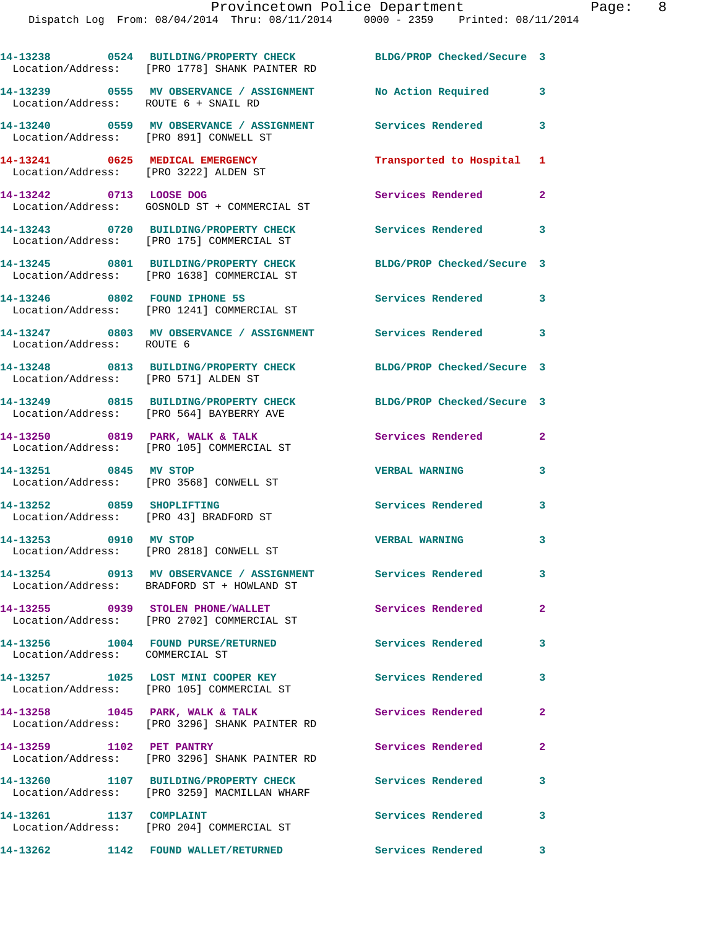|                                                                          | 14-13238 0524 BUILDING/PROPERTY CHECK BLDG/PROP Checked/Secure 3<br>Location/Address: [PRO 1778] SHANK PAINTER RD |                            |                         |
|--------------------------------------------------------------------------|-------------------------------------------------------------------------------------------------------------------|----------------------------|-------------------------|
| Location/Address: ROUTE 6 + SNAIL RD                                     | 14-13239 0555 MV OBSERVANCE / ASSIGNMENT No Action Required                                                       |                            | 3                       |
|                                                                          |                                                                                                                   | Services Rendered          | 3                       |
| 14-13241 0625 MEDICAL EMERGENCY<br>Location/Address: [PRO 3222] ALDEN ST |                                                                                                                   | Transported to Hospital 1  |                         |
| 14-13242 0713 LOOSE DOG                                                  | Location/Address: GOSNOLD ST + COMMERCIAL ST                                                                      | Services Rendered          | $\mathbf{2}$            |
|                                                                          | 14-13243 0720 BUILDING/PROPERTY CHECK<br>Location/Address: [PRO 175] COMMERCIAL ST                                | <b>Services Rendered</b>   | 3                       |
|                                                                          | 14-13245 0801 BUILDING/PROPERTY CHECK<br>Location/Address: [PRO 1638] COMMERCIAL ST                               | BLDG/PROP Checked/Secure 3 |                         |
|                                                                          | 14-13246 0802 FOUND IPHONE 5S<br>Location/Address: [PRO 1241] COMMERCIAL ST                                       | <b>Services Rendered</b>   | $\overline{\mathbf{3}}$ |
| Location/Address: ROUTE 6                                                | 14-13247 0803 MV OBSERVANCE / ASSIGNMENT Services Rendered 3                                                      |                            |                         |
| Location/Address: [PRO 571] ALDEN ST                                     | 14-13248 0813 BUILDING/PROPERTY CHECK                                                                             | BLDG/PROP Checked/Secure 3 |                         |
|                                                                          | 14-13249 0815 BUILDING/PROPERTY CHECK<br>Location/Address: [PRO 564] BAYBERRY AVE                                 | BLDG/PROP Checked/Secure 3 |                         |
|                                                                          | 14-13250 0819 PARK, WALK & TALK<br>Location/Address: [PRO 105] COMMERCIAL ST                                      | Services Rendered          | $\mathbf{2}$            |
| 14-13251 0845 MV STOP                                                    | Location/Address: [PRO 3568] CONWELL ST                                                                           | <b>VERBAL WARNING</b>      | 3                       |
| 14-13252 0859 SHOPLIFTING<br>Location/Address: [PRO 43] BRADFORD ST      |                                                                                                                   | Services Rendered          | 3                       |
| 14-13253 0910 MV STOP                                                    | Location/Address: [PRO 2818] CONWELL ST                                                                           | <b>VERBAL WARNING</b>      | 3                       |
|                                                                          | 14-13254 0913 MV OBSERVANCE / ASSIGNMENT<br>Location/Address: BRADFORD ST + HOWLAND ST                            | Services Rendered          | 3                       |
|                                                                          | 14-13255 0939 STOLEN PHONE/WALLET<br>Location/Address: [PRO 2702] COMMERCIAL ST                                   | <b>Services Rendered</b>   | $\overline{2}$          |
| Location/Address: COMMERCIAL ST                                          | 14-13256 1004 FOUND PURSE/RETURNED                                                                                | <b>Services Rendered</b>   | 3                       |
|                                                                          | 14-13257 1025 LOST MINI COOPER KEY<br>Location/Address: [PRO 105] COMMERCIAL ST                                   | <b>Services Rendered</b>   | 3                       |
|                                                                          | 14-13258 1045 PARK, WALK & TALK<br>Location/Address: [PRO 3296] SHANK PAINTER RD                                  | Services Rendered          | $\mathbf{2}$            |
| 14-13259 1102 PET PANTRY                                                 | Location/Address: [PRO 3296] SHANK PAINTER RD                                                                     | Services Rendered          | $\overline{2}$          |
|                                                                          | 14-13260 1107 BUILDING/PROPERTY CHECK<br>Location/Address: [PRO 3259] MACMILLAN WHARF                             | <b>Services Rendered</b>   | 3                       |
| 14-13261 1137 COMPLAINT                                                  | Location/Address: [PRO 204] COMMERCIAL ST                                                                         | Services Rendered          | $\mathbf{3}$            |
|                                                                          | 14-13262 1142 FOUND WALLET/RETURNED                                                                               | Services Rendered 3        |                         |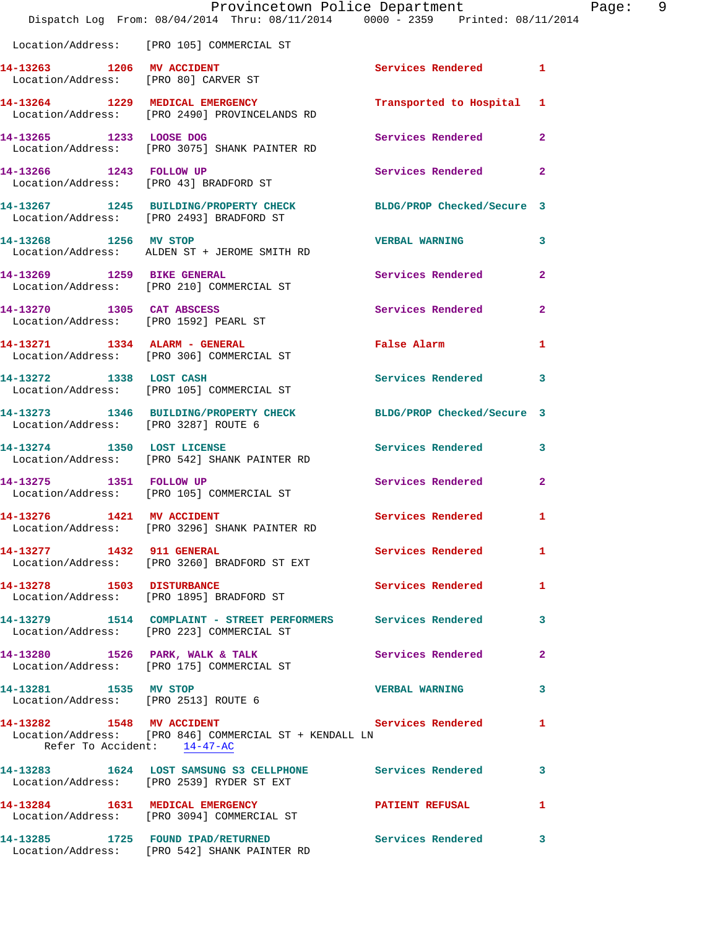|                                                                    | Provincetown Police Department<br>Dispatch Log From: 08/04/2014 Thru: 08/11/2014 0000 - 2359 Printed: 08/11/2014 |                            |                |
|--------------------------------------------------------------------|------------------------------------------------------------------------------------------------------------------|----------------------------|----------------|
|                                                                    | Location/Address: [PRO 105] COMMERCIAL ST                                                                        |                            |                |
| 14-13263 1206 MV ACCIDENT                                          | Location/Address: [PRO 80] CARVER ST                                                                             | Services Rendered 1        |                |
|                                                                    | 14-13264 1229 MEDICAL EMERGENCY<br>Location/Address: [PRO 2490] PROVINCELANDS RD                                 | Transported to Hospital    | 1              |
| 14-13265 1233 LOOSE DOG                                            | Location/Address: [PRO 3075] SHANK PAINTER RD                                                                    | Services Rendered          | $\overline{2}$ |
| 14-13266 1243 FOLLOW UP                                            | Location/Address: [PRO 43] BRADFORD ST                                                                           | Services Rendered          | $\mathbf{2}$   |
|                                                                    | 14-13267 1245 BUILDING/PROPERTY CHECK BLDG/PROP Checked/Secure 3<br>Location/Address: [PRO 2493] BRADFORD ST     |                            |                |
| 14-13268 1256 MV STOP                                              | Location/Address: ALDEN ST + JEROME SMITH RD                                                                     | <b>VERBAL WARNING</b>      | 3              |
| 14-13269 1259 BIKE GENERAL                                         | Location/Address: [PRO 210] COMMERCIAL ST                                                                        | Services Rendered          | $\overline{2}$ |
| 14-13270 1305 CAT ABSCESS<br>Location/Address: [PRO 1592] PEARL ST |                                                                                                                  | <b>Services Rendered</b>   | $\overline{a}$ |
|                                                                    | 14-13271 1334 ALARM - GENERAL<br>Location/Address: [PRO 306] COMMERCIAL ST                                       | False Alarm                | 1              |
|                                                                    | 14-13272 1338 LOST CASH<br>Location/Address: [PRO 105] COMMERCIAL ST                                             | Services Rendered          | 3              |
| Location/Address: [PRO 3287] ROUTE 6                               | 14-13273 1346 BUILDING/PROPERTY CHECK                                                                            | BLDG/PROP Checked/Secure 3 |                |
|                                                                    | 14-13274 1350 LOST LICENSE<br>Location/Address: [PRO 542] SHANK PAINTER RD                                       | Services Rendered          | 3              |
| 14-13275 1351 FOLLOW UP                                            | Location/Address: [PRO 105] COMMERCIAL ST                                                                        | Services Rendered          | $\overline{2}$ |
| 14-13276 1421 MV ACCIDENT                                          | Location/Address: [PRO 3296] SHANK PAINTER RD                                                                    | Services Rendered          | 1              |
| 14-13277 1432 911 GENERAL                                          | Location/Address: [PRO 3260] BRADFORD ST EXT                                                                     | <b>Services Rendered</b>   | 1              |
| 14-13278 1503 DISTURBANCE                                          | Location/Address: [PRO 1895] BRADFORD ST                                                                         | <b>Services Rendered</b>   | 1              |
|                                                                    | 14-13279 1514 COMPLAINT - STREET PERFORMERS Services Rendered<br>Location/Address: [PRO 223] COMMERCIAL ST       |                            | 3              |
|                                                                    | 14-13280 1526 PARK, WALK & TALK<br>Location/Address: [PRO 175] COMMERCIAL ST                                     | <b>Services Rendered</b>   | $\overline{2}$ |
| 14-13281 1535 MV STOP<br>Location/Address: [PRO 2513] ROUTE 6      |                                                                                                                  | <b>VERBAL WARNING</b>      | 3              |
| 14-13282 1548 MV ACCIDENT<br>Refer To Accident: $14-47-AC$         | Location/Address: [PRO 846] COMMERCIAL ST + KENDALL LN                                                           | Services Rendered          | 1              |
|                                                                    | 14-13283 1624 LOST SAMSUNG S3 CELLPHONE Services Rendered<br>Location/Address: [PRO 2539] RYDER ST EXT           |                            | 3              |
|                                                                    | 14-13284 1631 MEDICAL EMERGENCY<br>Location/Address: [PRO 3094] COMMERCIAL ST                                    | <b>PATIENT REFUSAL</b>     | 1              |
|                                                                    | 14-13285 1725 FOUND IPAD/RETURNED Services Rendered<br>Location/Address: [PRO 542] SHANK PAINTER RD              |                            | 3              |

Page: 9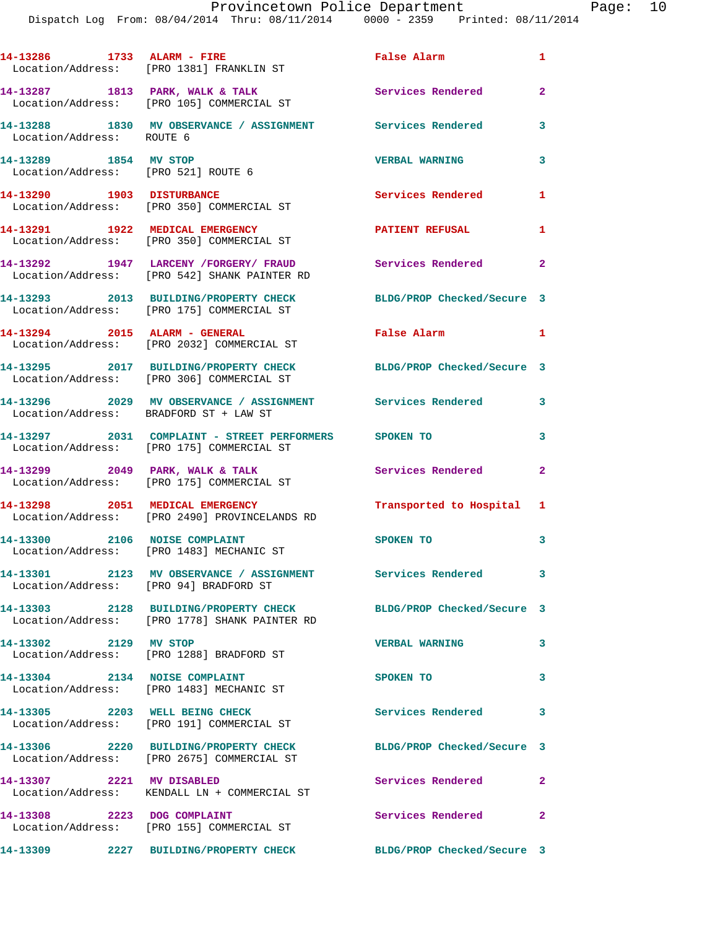|                                                              | 14-13286 1733 ALARM - FIRE<br>Location/Address: [PRO 1381] FRANKLIN ST                             | <b>False Alarm</b>         | $\mathbf{1}$ |
|--------------------------------------------------------------|----------------------------------------------------------------------------------------------------|----------------------------|--------------|
|                                                              | 14-13287 1813 PARK, WALK & TALK<br>Location/Address: [PRO 105] COMMERCIAL ST                       | Services Rendered          | $\mathbf{2}$ |
| Location/Address: ROUTE 6                                    | 14-13288 1830 MV OBSERVANCE / ASSIGNMENT Services Rendered                                         |                            | 3            |
| 14-13289 1854 MV STOP<br>Location/Address: [PRO 521] ROUTE 6 |                                                                                                    | <b>VERBAL WARNING</b>      | 3            |
|                                                              | 14-13290 1903 DISTURBANCE<br>Location/Address: [PRO 350] COMMERCIAL ST                             | Services Rendered          | 1            |
|                                                              | 14-13291 1922 MEDICAL EMERGENCY<br>Location/Address: [PRO 350] COMMERCIAL ST                       | <b>PATIENT REFUSAL</b>     | 1            |
|                                                              | 14-13292 1947 LARCENY / FORGERY / FRAUD<br>Location/Address: [PRO 542] SHANK PAINTER RD            | Services Rendered          | $\mathbf{2}$ |
|                                                              | 14-13293 2013 BUILDING/PROPERTY CHECK<br>Location/Address: [PRO 175] COMMERCIAL ST                 | BLDG/PROP Checked/Secure 3 |              |
|                                                              | 14-13294 2015 ALARM - GENERAL<br>Location/Address: [PRO 2032] COMMERCIAL ST                        | False Alarm                | $\mathbf{1}$ |
|                                                              | 14-13295 2017 BUILDING/PROPERTY CHECK<br>Location/Address: [PRO 306] COMMERCIAL ST                 | BLDG/PROP Checked/Secure 3 |              |
| Location/Address: BRADFORD ST + LAW ST                       | 14-13296 2029 MV OBSERVANCE / ASSIGNMENT Services Rendered 3                                       |                            |              |
|                                                              | 14-13297 2031 COMPLAINT - STREET PERFORMERS SPOKEN TO<br>Location/Address: [PRO 175] COMMERCIAL ST |                            | 3            |
|                                                              | 14-13299 2049 PARK, WALK & TALK<br>Location/Address: [PRO 175] COMMERCIAL ST                       | Services Rendered          | $\mathbf{2}$ |
|                                                              | 14-13298 2051 MEDICAL EMERGENCY<br>Location/Address: [PRO 2490] PROVINCELANDS RD                   | Transported to Hospital 1  |              |
| 14-13300 2106 NOISE COMPLAINT                                | Location/Address: [PRO 1483] MECHANIC ST                                                           | SPOKEN TO                  | 3            |
| 14-13301<br>Location/Address: [PRO 94] BRADFORD ST           | 2123 MV OBSERVANCE / ASSIGNMENT Services Rendered                                                  |                            | 3            |
|                                                              | 14-13303 2128 BUILDING/PROPERTY CHECK<br>Location/Address: [PRO 1778] SHANK PAINTER RD             | BLDG/PROP Checked/Secure 3 |              |
| 14-13302 2129 MV STOP                                        | Location/Address: [PRO 1288] BRADFORD ST                                                           | <b>VERBAL WARNING</b>      | 3            |
| 14-13304 2134 NOISE COMPLAINT                                | Location/Address: [PRO 1483] MECHANIC ST                                                           | SPOKEN TO                  | 3            |
|                                                              | 14-13305 2203 WELL BEING CHECK<br>Location/Address: [PRO 191] COMMERCIAL ST                        | <b>Services Rendered</b>   | 3            |
|                                                              | 14-13306 2220 BUILDING/PROPERTY CHECK<br>Location/Address: [PRO 2675] COMMERCIAL ST                | BLDG/PROP Checked/Secure 3 |              |
| 14-13307 2221 MV DISABLED                                    | Location/Address: KENDALL LN + COMMERCIAL ST                                                       | Services Rendered          | $\mathbf{2}$ |
| 14-13308 2223 DOG COMPLAINT                                  | Location/Address: [PRO 155] COMMERCIAL ST                                                          | Services Rendered          | $\mathbf{2}$ |
|                                                              | 14-13309 2227 BUILDING/PROPERTY CHECK BLDG/PROP Checked/Secure 3                                   |                            |              |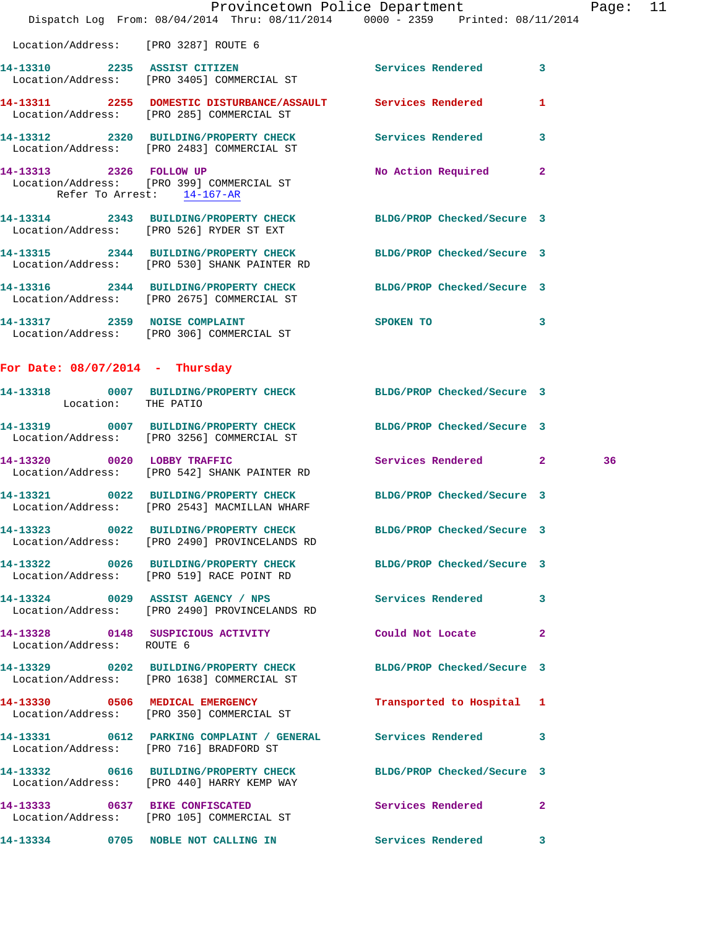|                                      | Dispatch Log From: 08/04/2014 Thru: 08/11/2014 0000 - 2359 Printed: 08/11/2014                                   | Provincetown Police Department Page: |              |    | 11 |
|--------------------------------------|------------------------------------------------------------------------------------------------------------------|--------------------------------------|--------------|----|----|
| Location/Address: [PRO 3287] ROUTE 6 |                                                                                                                  |                                      |              |    |    |
|                                      | 14-13310 2235 ASSIST CITIZEN<br>Location/Address: [PRO 3405] COMMERCIAL ST                                       | Services Rendered 3                  |              |    |    |
|                                      | 14-13311 2255 DOMESTIC DISTURBANCE/ASSAULT Services Rendered 1<br>Location/Address: [PRO 285] COMMERCIAL ST      |                                      |              |    |    |
|                                      | 14-13312 2320 BUILDING/PROPERTY CHECK Services Rendered 3<br>Location/Address: [PRO 2483] COMMERCIAL ST          |                                      |              |    |    |
|                                      | 14-13313 2326 FOLLOW UP<br>Location/Address: [PRO 399] COMMERCIAL ST<br>Refer To Arrest: 14-167-AR               | No Action Required 2                 |              |    |    |
|                                      | 14-13314 2343 BUILDING/PROPERTY CHECK BLDG/PROP Checked/Secure 3<br>Location/Address: [PRO 526] RYDER ST EXT     |                                      |              |    |    |
|                                      | 14-13315 2344 BUILDING/PROPERTY CHECK BLDG/PROP Checked/Secure 3<br>Location/Address: [PRO 530] SHANK PAINTER RD |                                      |              |    |    |
|                                      | 14-13316 2344 BUILDING/PROPERTY CHECK BLDG/PROP Checked/Secure 3<br>Location/Address: [PRO 2675] COMMERCIAL ST   |                                      |              |    |    |
|                                      | 14-13317 2359 NOISE COMPLAINT<br>Location/Address: [PRO 306] COMMERCIAL ST                                       | SPOKEN TO                            | $\sim$ 3     |    |    |
| For Date: $08/07/2014$ - Thursday    |                                                                                                                  |                                      |              |    |    |
| Location: THE PATIO                  | 14-13318 0007 BUILDING/PROPERTY CHECK BLDG/PROP Checked/Secure 3                                                 |                                      |              |    |    |
|                                      | 14-13319 0007 BUILDING/PROPERTY CHECK BLDG/PROP Checked/Secure 3<br>Location/Address: [PRO 3256] COMMERCIAL ST   |                                      |              |    |    |
|                                      | 14-13320 0020 LOBBY TRAFFIC<br>Location/Address: [PRO 542] SHANK PAINTER RD                                      | Services Rendered 2                  |              | 36 |    |
|                                      | 14-13321 0022 BUILDING/PROPERTY CHECK BLDG/PROP Checked/Secure 3<br>Location/Address: [PRO 2543] MACMILLAN WHARF |                                      |              |    |    |
|                                      | 14-13323 0022 BUILDING/PROPERTY CHECK<br>Location/Address: [PRO 2490] PROVINCELANDS RD                           | BLDG/PROP Checked/Secure 3           |              |    |    |
|                                      | 14-13322 0026 BUILDING/PROPERTY CHECK BLDG/PROP Checked/Secure 3<br>Location/Address: [PRO 519] RACE POINT RD    |                                      |              |    |    |
|                                      | 14-13324 0029 ASSIST AGENCY / NPS Services Rendered<br>Location/Address: [PRO 2490] PROVINCELANDS RD             |                                      | 3            |    |    |
| Location/Address: ROUTE 6            | 14-13328 0148 SUSPICIOUS ACTIVITY Could Not Locate                                                               |                                      | $\mathbf{2}$ |    |    |
|                                      | 14-13329 0202 BUILDING/PROPERTY CHECK BLDG/PROP Checked/Secure 3<br>Location/Address: [PRO 1638] COMMERCIAL ST   |                                      |              |    |    |
|                                      | 14-13330 0506 MEDICAL EMERGENCY<br>Location/Address: [PRO 350] COMMERCIAL ST                                     | Transported to Hospital 1            |              |    |    |
|                                      | 14-13331 0612 PARKING COMPLAINT / GENERAL Services Rendered<br>Location/Address: [PRO 716] BRADFORD ST           |                                      | 3            |    |    |
|                                      | 14-13332 0616 BUILDING/PROPERTY CHECK BLDG/PROP Checked/Secure 3<br>Location/Address: [PRO 440] HARRY KEMP WAY   |                                      |              |    |    |
|                                      | 14-13333 0637 BIKE CONFISCATED<br>Location/Address: [PRO 105] COMMERCIAL ST                                      | Services Rendered                    | $\mathbf{2}$ |    |    |
|                                      | 14-13334 0705 NOBLE NOT CALLING IN                                                                               | Services Rendered 3                  |              |    |    |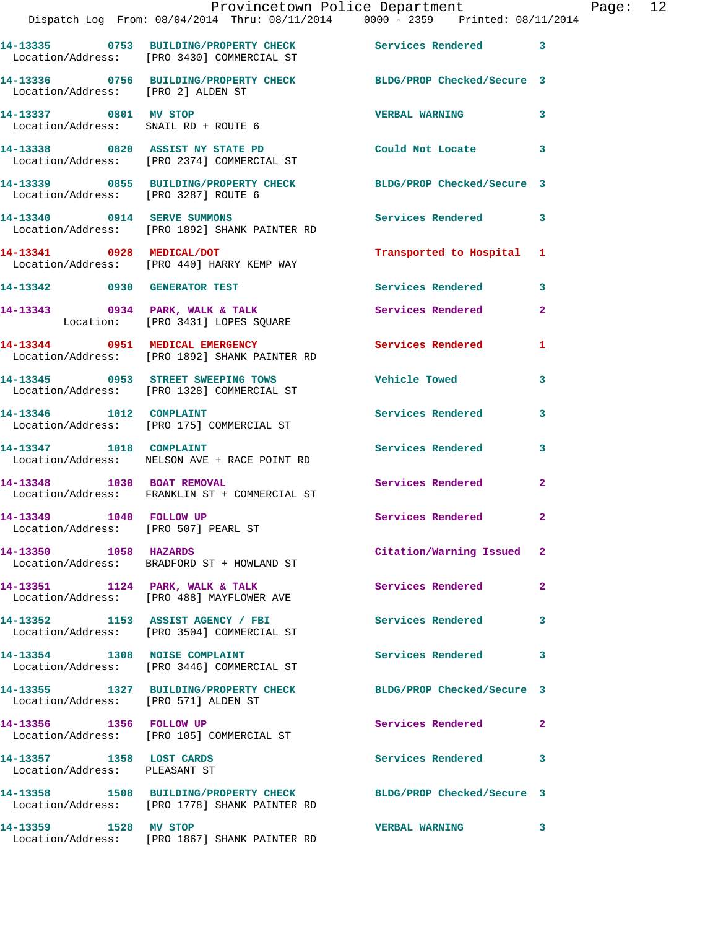|                                                           | Provincetown Police Department<br>Dispatch Log From: 08/04/2014 Thru: 08/11/2014 0000 - 2359 Printed: 08/11/2014  |                            |              |
|-----------------------------------------------------------|-------------------------------------------------------------------------------------------------------------------|----------------------------|--------------|
|                                                           |                                                                                                                   |                            |              |
|                                                           | 14-13335 0753 BUILDING/PROPERTY CHECK Services Rendered<br>Location/Address: [PRO 3430] COMMERCIAL ST             |                            | 3            |
|                                                           | 14-13336 0756 BUILDING/PROPERTY CHECK BLDG/PROP Checked/Secure 3<br>Location/Address: [PRO 2] ALDEN ST            |                            |              |
| 14-13337 0801 MV STOP                                     | Location/Address: SNAIL RD + ROUTE 6                                                                              | <b>VERBAL WARNING</b>      | 3            |
|                                                           | 14-13338 0820 ASSIST NY STATE PD<br>Location/Address: [PRO 2374] COMMERCIAL ST                                    | Could Not Locate           | 3            |
|                                                           | 14-13339 0855 BUILDING/PROPERTY CHECK<br>Location/Address: [PRO 3287] ROUTE 6                                     | BLDG/PROP Checked/Secure 3 |              |
|                                                           | 14-13340 0914 SERVE SUMMONS<br>Location/Address: [PRO 1892] SHANK PAINTER RD                                      | <b>Services Rendered</b>   | 3            |
|                                                           | 14-13341 0928 MEDICAL/DOT<br>Location/Address: [PRO 440] HARRY KEMP WAY                                           | Transported to Hospital    | 1            |
|                                                           | 14-13342 0930 GENERATOR TEST                                                                                      | <b>Services Rendered</b>   | 3            |
|                                                           | 14-13343 0934 PARK, WALK & TALK<br>Location: [PRO 3431] LOPES SQUARE                                              | <b>Services Rendered</b>   | $\mathbf{2}$ |
|                                                           | 14-13344 0951 MEDICAL EMERGENCY<br>Location/Address: [PRO 1892] SHANK PAINTER RD                                  | Services Rendered          | 1            |
|                                                           | 14-13345 0953 STREET SWEEPING TOWS<br>Location/Address: [PRO 1328] COMMERCIAL ST                                  | <b>Vehicle Towed</b>       | 3            |
|                                                           | 14-13346    1012    COMPLAINT<br>Location/Address: [PRO 175] COMMERCIAL ST                                        | <b>Services Rendered</b>   | 3            |
| 14-13347 1018 COMPLAINT                                   | Location/Address: NELSON AVE + RACE POINT RD                                                                      | <b>Services Rendered</b>   | 3            |
| 14-13348 1030 BOAT REMOVAL                                | Location/Address: FRANKLIN ST + COMMERCIAL ST                                                                     | Services Rendered          | 2            |
| 14-13349                                                  | 1040 FOLLOW UP<br>Location/Address: [PRO 507] PEARL ST                                                            | Services Rendered          | $\mathbf{2}$ |
| 14-13350 1058 HAZARDS                                     | Location/Address: BRADFORD ST + HOWLAND ST                                                                        | Citation/Warning Issued    | $\mathbf{2}$ |
|                                                           | 14-13351 1124 PARK, WALK & TALK<br>Location/Address: [PRO 488] MAYFLOWER AVE                                      | Services Rendered          | $\mathbf{2}$ |
|                                                           | 14-13352 1153 ASSIST AGENCY / FBI<br>Location/Address: [PRO 3504] COMMERCIAL ST                                   | <b>Services Rendered</b>   | 3            |
|                                                           | 14-13354 1308 NOISE COMPLAINT<br>Location/Address: [PRO 3446] COMMERCIAL ST                                       | Services Rendered          | 3            |
|                                                           | 14-13355 1327 BUILDING/PROPERTY CHECK<br>Location/Address: [PRO 571] ALDEN ST                                     | BLDG/PROP Checked/Secure 3 |              |
| 14-13356 1356 FOLLOW UP                                   | Location/Address: [PRO 105] COMMERCIAL ST                                                                         | Services Rendered          | $\mathbf{2}$ |
| 14-13357 1358 LOST CARDS<br>Location/Address: PLEASANT ST |                                                                                                                   | <b>Services Rendered</b>   | 3            |
|                                                           | 14-13358 1508 BUILDING/PROPERTY CHECK BLDG/PROP Checked/Secure 3<br>Location/Address: [PRO 1778] SHANK PAINTER RD |                            |              |
| 14-13359 1528 MV STOP                                     | Location/Address: [PRO 1867] SHANK PAINTER RD                                                                     | <b>VERBAL WARNING</b>      | 3            |

Page:  $12$ <br>014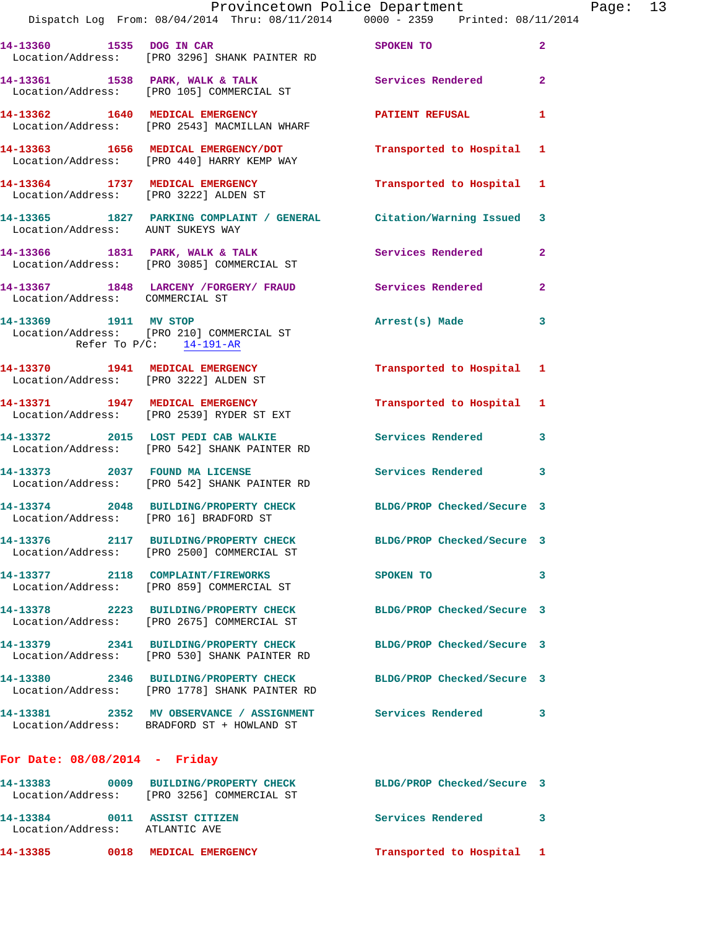|                                                                | Dispatch Log From: 08/04/2014 Thru: 08/11/2014 0000 - 2359 Printed: 08/11/2014                                    | Provincetown Police Department | Page: 13       |
|----------------------------------------------------------------|-------------------------------------------------------------------------------------------------------------------|--------------------------------|----------------|
|                                                                | 14-13360 1535 DOG IN CAR SPOKEN TO<br>Location/Address: [PRO 3296] SHANK PAINTER RD                               |                                | $\mathbf{2}$   |
|                                                                | 14-13361 1538 PARK, WALK & TALK 1999 Services Rendered<br>Location/Address: [PRO 105] COMMERCIAL ST               |                                | $\mathbf{2}$   |
|                                                                | 14-13362 1640 MEDICAL EMERGENCY<br>Location/Address: [PRO 2543] MACMILLAN WHARF                                   | PATIENT REFUSAL                | 1              |
|                                                                | 14-13363 1656 MEDICAL EMERGENCY/DOT Transported to Hospital 1<br>Location/Address: [PRO 440] HARRY KEMP WAY       |                                |                |
|                                                                | 14-13364 1737 MEDICAL EMERGENCY Transported to Hospital 1 Location/Address: [PRO 3222] ALDEN ST                   |                                |                |
| Location/Address: AUNT SUKEYS WAY                              | 14-13365 1827 PARKING COMPLAINT / GENERAL Citation/Warning Issued 3                                               |                                |                |
|                                                                | 14-13366 1831 PARK, WALK & TALK Services Rendered<br>Location/Address: [PRO 3085] COMMERCIAL ST                   |                                | $\overline{2}$ |
| Location/Address: COMMERCIAL ST                                | 14-13367 1848 LARCENY /FORGERY / FRAUD Services Rendered                                                          |                                | $\mathbf{2}$   |
|                                                                | 14-13369 1911 MV STOP<br>Location/Address: [PRO 210] COMMERCIAL ST<br>Refer To $P/C$ : 14-191-AR                  | Arrest(s) Made 3               |                |
| Location/Address: [PRO 3222] ALDEN ST                          | 14-13370 1941 MEDICAL EMERGENCY Transported to Hospital 1                                                         |                                |                |
|                                                                | 14-13371 1947 MEDICAL EMERGENCY<br>Location/Address: [PRO 2539] RYDER ST EXT                                      | Transported to Hospital 1      |                |
|                                                                | 14-13372 2015 LOST PEDI CAB WALKIE Services Rendered 3<br>Location/Address: [PRO 542] SHANK PAINTER RD            |                                |                |
|                                                                | 14-13373 2037 FOUND MA LICENSE<br>Location/Address: [PRO 542] SHANK PAINTER RD                                    | Services Rendered              | 3              |
| Location/Address: [PRO 16] BRADFORD ST                         | 14-13374 2048 BUILDING/PROPERTY CHECK BLDG/PROP Checked/Secure 3                                                  |                                |                |
|                                                                | 14-13376 2117 BUILDING/PROPERTY CHECK BLDG/PROP Checked/Secure 3<br>Location/Address: [PRO 2500] COMMERCIAL ST    |                                |                |
|                                                                | 14-13377 2118 COMPLAINT/FIREWORKS<br>Location/Address: [PRO 859] COMMERCIAL ST                                    | SPOKEN TO                      | 3              |
|                                                                | 14-13378 2223 BUILDING/PROPERTY CHECK BLDG/PROP Checked/Secure 3<br>Location/Address: [PRO 2675] COMMERCIAL ST    |                                |                |
|                                                                | 14-13379 2341 BUILDING/PROPERTY CHECK<br>Location/Address: [PRO 530] SHANK PAINTER RD                             | BLDG/PROP Checked/Secure 3     |                |
|                                                                | 14-13380 2346 BUILDING/PROPERTY CHECK BLDG/PROP Checked/Secure 3<br>Location/Address: [PRO 1778] SHANK PAINTER RD |                                |                |
|                                                                | 14-13381 2352 MV OBSERVANCE / ASSIGNMENT Services Rendered<br>Location/Address: BRADFORD ST + HOWLAND ST          |                                | 3              |
| For Date: $08/08/2014$ - Friday                                |                                                                                                                   |                                |                |
|                                                                | 14-13383 0009 BUILDING/PROPERTY CHECK BLDG/PROP Checked/Secure 3<br>Location/Address: [PRO 3256] COMMERCIAL ST    |                                |                |
| 14-13384 0011 ASSIST CITIZEN<br>Location/Address: ATLANTIC AVE |                                                                                                                   | Services Rendered              | 3.             |

**14-13385 0018 MEDICAL EMERGENCY Transported to Hospital 1**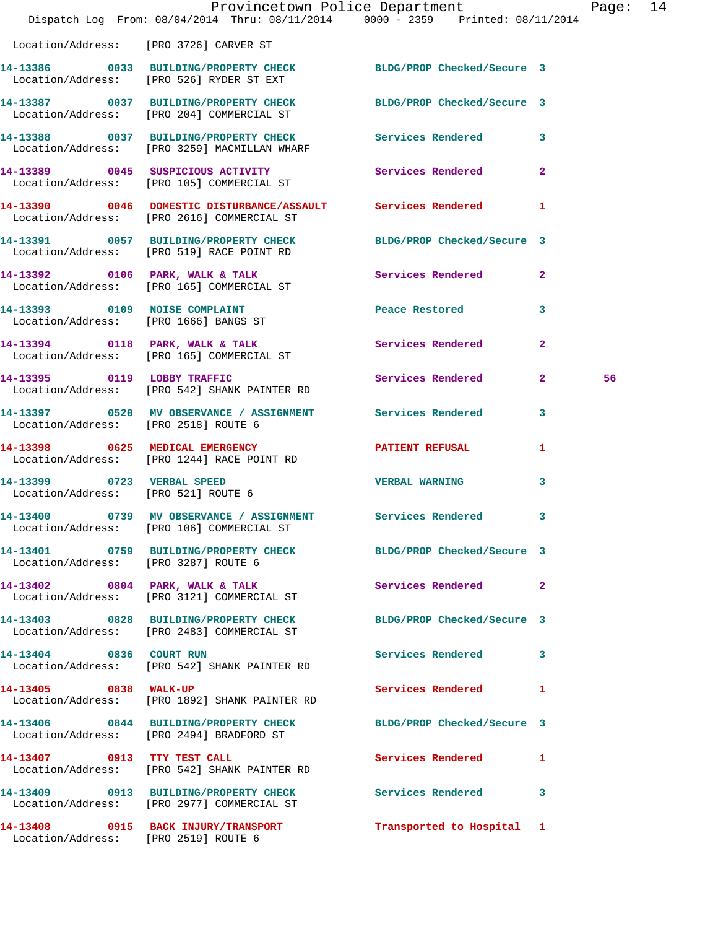|                                        | Dispatch Log From: 08/04/2014 Thru: 08/11/2014 0000 - 2359 Printed: 08/11/2014                                | Provincetown Police Department |              | Page: | 14 |
|----------------------------------------|---------------------------------------------------------------------------------------------------------------|--------------------------------|--------------|-------|----|
| Location/Address: [PRO 3726] CARVER ST |                                                                                                               |                                |              |       |    |
|                                        | 14-13386 0033 BUILDING/PROPERTY CHECK BLDG/PROP Checked/Secure 3<br>Location/Address: [PRO 526] RYDER ST EXT  |                                |              |       |    |
|                                        | 14-13387 0037 BUILDING/PROPERTY CHECK BLDG/PROP Checked/Secure 3<br>Location/Address: [PRO 204] COMMERCIAL ST |                                |              |       |    |
|                                        | 14-13388 0037 BUILDING/PROPERTY CHECK Services Rendered 3<br>Location/Address: [PRO 3259] MACMILLAN WHARF     |                                |              |       |    |
|                                        | 14-13389 0045 SUSPICIOUS ACTIVITY Services Rendered 2<br>Location/Address: [PRO 105] COMMERCIAL ST            |                                |              |       |    |
|                                        | 14-13390 0046 DOMESTIC DISTURBANCE/ASSAULT Services Rendered 1<br>Location/Address: [PRO 2616] COMMERCIAL ST  |                                |              |       |    |
|                                        | 14-13391 0057 BUILDING/PROPERTY CHECK<br>Location/Address: [PRO 519] RACE POINT RD                            | BLDG/PROP Checked/Secure 3     |              |       |    |
|                                        | 14-13392 0106 PARK, WALK & TALK 5 Services Rendered 2<br>Location/Address: [PRO 165] COMMERCIAL ST            |                                |              |       |    |
|                                        | 14-13393 0109 NOISE COMPLAINT<br>Location/Address: [PRO 1666] BANGS ST                                        | Peace Restored                 | 3            |       |    |
|                                        | 14-13394 0118 PARK, WALK & TALK<br>Location/Address: [PRO 165] COMMERCIAL ST                                  | Services Rendered              | $\mathbf{2}$ |       |    |
|                                        | 14-13395 0119 LOBBY TRAFFIC<br>Location/Address: [PRO 542] SHANK PAINTER RD                                   | Services Rendered 2            |              | 56    |    |
| Location/Address: [PRO 2518] ROUTE 6   | 14-13397 0520 MV OBSERVANCE / ASSIGNMENT Services Rendered                                                    |                                | 3            |       |    |
|                                        | 14-13398 0625 MEDICAL EMERGENCY<br>Location/Address: [PRO 1244] RACE POINT RD                                 | <b>PATIENT REFUSAL</b>         | 1            |       |    |
|                                        | 14-13399 0723 VERBAL SPEED<br>Location/Address: [PRO 521] ROUTE 6                                             | <b>VERBAL WARNING</b>          | 3            |       |    |
|                                        | 14-13400 0739 MV OBSERVANCE / ASSIGNMENT Services Rendered 3<br>Location/Address: [PRO 106] COMMERCIAL ST     |                                |              |       |    |
| Location/Address: [PRO 3287] ROUTE 6   | 14-13401 0759 BUILDING/PROPERTY CHECK BLDG/PROP Checked/Secure 3                                              |                                |              |       |    |
|                                        | 14-13402 0804 PARK, WALK & TALK<br>Location/Address: [PRO 3121] COMMERCIAL ST                                 | Services Rendered 2            |              |       |    |
|                                        | 14-13403 0828 BUILDING/PROPERTY CHECK<br>Location/Address: [PRO 2483] COMMERCIAL ST                           | BLDG/PROP Checked/Secure 3     |              |       |    |
|                                        | 14-13404 0836 COURT RUN<br>Location/Address: [PRO 542] SHANK PAINTER RD                                       | Services Rendered              | 3            |       |    |
| 14-13405 0838 WALK-UP                  | Location/Address: [PRO 1892] SHANK PAINTER RD                                                                 | Services Rendered 1            |              |       |    |
|                                        | 14-13406 0844 BUILDING/PROPERTY CHECK<br>Location/Address: [PRO 2494] BRADFORD ST                             | BLDG/PROP Checked/Secure 3     |              |       |    |
| 14-13407 0913 TTY TEST CALL            | Location/Address: [PRO 542] SHANK PAINTER RD                                                                  | Services Rendered              | $\mathbf{1}$ |       |    |
|                                        | 14-13409 0913 BUILDING/PROPERTY CHECK Services Rendered<br>Location/Address: [PRO 2977] COMMERCIAL ST         |                                | 3            |       |    |
| Location/Address: [PRO 2519] ROUTE 6   | 14-13408 0915 BACK INJURY/TRANSPORT                                                                           | Transported to Hospital 1      |              |       |    |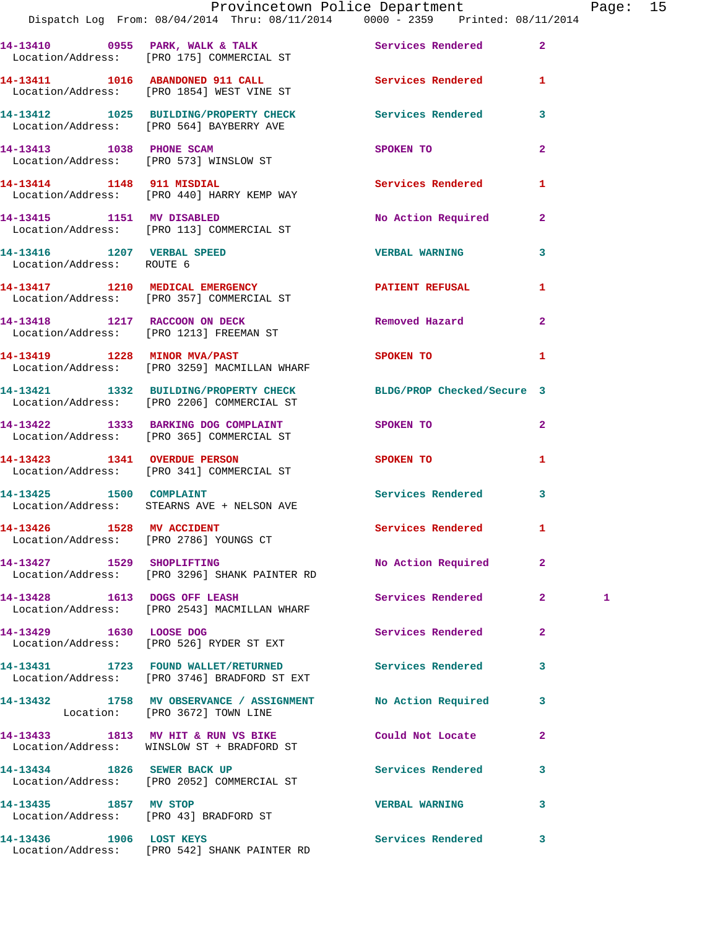|                                                                     | Provincetown Police Department<br>Dispatch Log From: 08/04/2014 Thru: 08/11/2014 0000 - 2359 Printed: 08/11/2014 |                          |                | Pag |
|---------------------------------------------------------------------|------------------------------------------------------------------------------------------------------------------|--------------------------|----------------|-----|
|                                                                     |                                                                                                                  |                          |                |     |
|                                                                     | 14-13410 0955 PARK, WALK & TALK Services Rendered Election/Address: [PRO 175] COMMERCIAL ST                      |                          | $\mathbf{2}$   |     |
|                                                                     | 14-13411 1016 ABANDONED 911 CALL Services Rendered<br>Location/Address: [PRO 1854] WEST VINE ST                  |                          | 1              |     |
|                                                                     | 14-13412 1025 BUILDING/PROPERTY CHECK Services Rendered<br>Location/Address: [PRO 564] BAYBERRY AVE              |                          | 3              |     |
|                                                                     | 14-13413 1038 PHONE SCAM<br>Location/Address: [PRO 573] WINSLOW ST                                               | SPOKEN TO                | $\overline{a}$ |     |
|                                                                     | 14-13414 1148 911 MISDIAL<br>Location/Address: [PRO 440] HARRY KEMP WAY                                          | Services Rendered        | 1              |     |
|                                                                     | 14-13415 1151 MV DISABLED<br>Location/Address: [PRO 113] COMMERCIAL ST                                           | No Action Required       | $\mathbf{2}$   |     |
| Location/Address: ROUTE 6                                           | 14-13416    1207    VERBAL SPEED                                                                                 | <b>VERBAL WARNING</b>    | 3              |     |
|                                                                     | Location/Address: [PRO 357] COMMERCIAL ST                                                                        |                          | 1              |     |
|                                                                     | 14-13418 1217 RACCOON ON DECK<br>Location/Address: [PRO 1213] FREEMAN ST                                         | Removed Hazard           | $\overline{a}$ |     |
|                                                                     | 14-13419 1228 MINOR MVA/PAST<br>Location/Address: [PRO 3259] MACMILLAN WHARF                                     | SPOKEN TO                | 1              |     |
|                                                                     | 14-13421 1332 BUILDING/PROPERTY CHECK BLDG/PROP Checked/Secure 3<br>Location/Address: [PRO 2206] COMMERCIAL ST   |                          |                |     |
|                                                                     | 14-13422 1333 BARKING DOG COMPLAINT SPOKEN TO<br>Location/Address: [PRO 365] COMMERCIAL ST                       |                          | $\overline{a}$ |     |
|                                                                     | 14-13423 1341 OVERDUE PERSON<br>Location/Address: [PRO 341] COMMERCIAL ST                                        | <b>SPOKEN TO</b>         | 1              |     |
|                                                                     | 14-13425 1500 COMPLAINT<br>Location/Address: STEARNS AVE + NELSON AVE                                            | Services Rendered        | 3              |     |
| 14-13426 1528 MV ACCIDENT<br>Location/Address: [PRO 2786] YOUNGS CT |                                                                                                                  | <b>Services Rendered</b> |                |     |
| 14-13427 1529 SHOPLIFTING                                           | Location/Address: [PRO 3296] SHANK PAINTER RD                                                                    | No Action Required       | $\mathbf{2}$   |     |
| 14-13428 1613 DOGS OFF LEASH                                        | Location/Address: [PRO 2543] MACMILLAN WHARF                                                                     | Services Rendered        | 2 <sup>1</sup> | 1   |
|                                                                     | 14-13429 1630 LOOSE DOG<br>Location/Address: [PRO 526] RYDER ST EXT                                              | Services Rendered        | $\mathbf{2}$   |     |
|                                                                     | 14-13431 1723 FOUND WALLET/RETURNED Services Rendered<br>Location/Address: [PRO 3746] BRADFORD ST EXT            |                          | 3              |     |
|                                                                     | 14-13432 1758 MV OBSERVANCE / ASSIGNMENT No Action Required<br>Location: [PRO 3672] TOWN LINE                    |                          | 3              |     |
|                                                                     | 14-13433 1813 MV HIT & RUN VS BIKE Could Not Locate<br>Location/Address: WINSLOW ST + BRADFORD ST                |                          | $\mathbf{2}$   |     |
|                                                                     | 14-13434 1826 SEWER BACK UP<br>Location/Address: [PRO 2052] COMMERCIAL ST                                        | Services Rendered        | 3              |     |
| 14-13435 1857 MV STOP                                               | Location/Address: [PRO 43] BRADFORD ST                                                                           | <b>VERBAL WARNING</b>    | 3              |     |
|                                                                     |                                                                                                                  |                          |                |     |

**14-13436 1906 LOST KEYS Services Rendered 3**  Location/Address: [PRO 542] SHANK PAINTER RD

age: 15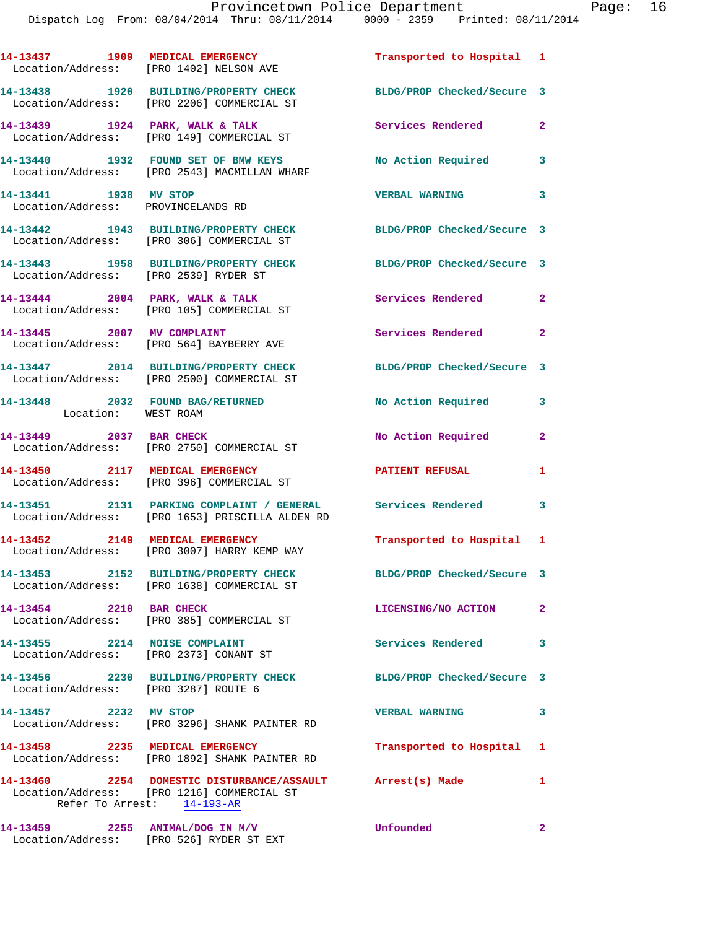|                                                             | 14-13437 1909 MEDICAL EMERGENCY<br>Location/Address: [PRO 1402] NELSON AVE                                                             | Transported to Hospital 1  |                         |
|-------------------------------------------------------------|----------------------------------------------------------------------------------------------------------------------------------------|----------------------------|-------------------------|
|                                                             | 14-13438 1920 BUILDING/PROPERTY CHECK<br>Location/Address: [PRO 2206] COMMERCIAL ST                                                    | BLDG/PROP Checked/Secure 3 |                         |
|                                                             | 14-13439 1924 PARK, WALK & TALK<br>Location/Address: [PRO 149] COMMERCIAL ST                                                           | <b>Services Rendered</b>   | $\mathbf{2}$            |
|                                                             | 14-13440 1932 FOUND SET OF BMW KEYS<br>Location/Address: [PRO 2543] MACMILLAN WHARF                                                    | <b>No Action Required</b>  | 3                       |
| 14-13441 1938 MV STOP<br>Location/Address: PROVINCELANDS RD |                                                                                                                                        | <b>VERBAL WARNING</b>      | $\overline{\mathbf{3}}$ |
|                                                             | 14-13442 1943 BUILDING/PROPERTY CHECK BLDG/PROP Checked/Secure 3<br>Location/Address: [PRO 306] COMMERCIAL ST                          |                            |                         |
| Location/Address: [PRO 2539] RYDER ST                       | 14-13443 1958 BUILDING/PROPERTY CHECK                                                                                                  | BLDG/PROP Checked/Secure 3 |                         |
|                                                             | 14-13444 2004 PARK, WALK & TALK<br>Location/Address: [PRO 105] COMMERCIAL ST                                                           | Services Rendered          | $\mathbf{2}$            |
| 14-13445 2007 MV COMPLAINT                                  | Location/Address: [PRO 564] BAYBERRY AVE                                                                                               | Services Rendered 2        |                         |
|                                                             | 14-13447 2014 BUILDING/PROPERTY CHECK<br>Location/Address: [PRO 2500] COMMERCIAL ST                                                    | BLDG/PROP Checked/Secure 3 |                         |
| Location: WEST ROAM                                         | 14-13448 2032 FOUND BAG/RETURNED                                                                                                       | No Action Required         | 3                       |
| 14-13449 2037 BAR CHECK                                     | Location/Address: [PRO 2750] COMMERCIAL ST                                                                                             | No Action Required         | $\overline{2}$          |
| 14-13450 2117 MEDICAL EMERGENCY                             | Location/Address: [PRO 396] COMMERCIAL ST                                                                                              | <b>PATIENT REFUSAL</b>     | $\mathbf{1}$            |
|                                                             | 14-13451 2131 PARKING COMPLAINT / GENERAL Services Rendered 3<br>Location/Address: [PRO 1653] PRISCILLA ALDEN RD                       |                            |                         |
|                                                             | 14-13452 2149 MEDICAL EMERGENCY<br>Location/Address: [PRO 3007] HARRY KEMP WAY                                                         | Transported to Hospital 1  |                         |
|                                                             | 14-13453 2152 BUILDING/PROPERTY CHECK<br>Location/Address: [PRO 1638] COMMERCIAL ST                                                    | BLDG/PROP Checked/Secure 3 |                         |
| 14-13454 2210 BAR CHECK                                     | Location/Address: [PRO 385] COMMERCIAL ST                                                                                              | LICENSING/NO ACTION 2      |                         |
|                                                             | 14-13455 2214 NOISE COMPLAINT<br>Location/Address: [PRO 2373] CONANT ST                                                                | Services Rendered          | 3                       |
| Location/Address: [PRO 3287] ROUTE 6                        | 14-13456 2230 BUILDING/PROPERTY CHECK BLDG/PROP Checked/Secure 3                                                                       |                            |                         |
| 14-13457 2232 MV STOP                                       | Location/Address: [PRO 3296] SHANK PAINTER RD                                                                                          | <b>VERBAL WARNING</b>      | 3                       |
| 14-13458 2235 MEDICAL EMERGENCY                             | Location/Address: [PRO 1892] SHANK PAINTER RD                                                                                          | Transported to Hospital 1  |                         |
|                                                             | 14-13460  2254 DOMESTIC DISTURBANCE/ASSAULT Arrest(s) Made<br>Location/Address: [PRO 1216] COMMERCIAL ST<br>Refer To Arrest: 14-193-AR |                            | $\mathbf{1}$            |
| 14-13459 2255 ANIMAL/DOG IN M/V                             |                                                                                                                                        | Unfounded                  | $\overline{\mathbf{2}}$ |

Location/Address: [PRO 526] RYDER ST EXT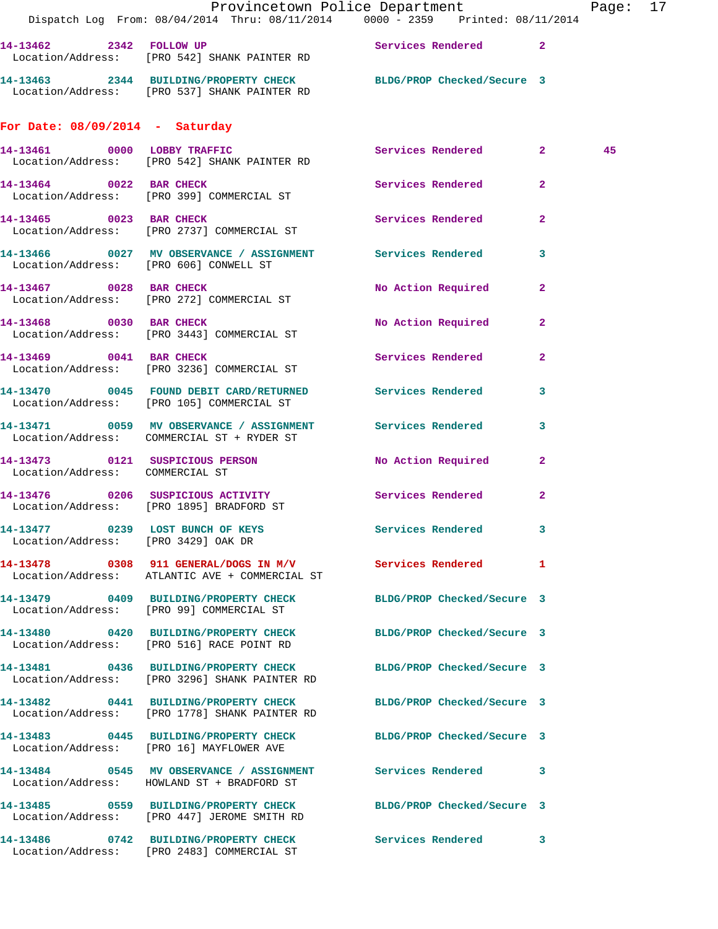|                                                                         | Dispatch Log From: 08/04/2014 Thru: 08/11/2014 0000 - 2359 Printed: 08/11/2014                                    | Provincetown Police Department |                | Page: 17 |  |
|-------------------------------------------------------------------------|-------------------------------------------------------------------------------------------------------------------|--------------------------------|----------------|----------|--|
|                                                                         | 14-13462 2342 FOLLOW UP Services Rendered 2<br>Location/Address: [PRO 542] SHANK PAINTER RD                       |                                |                |          |  |
|                                                                         | 14-13463 2344 BUILDING/PROPERTY CHECK BLDG/PROP Checked/Secure 3<br>Location/Address: [PRO 537] SHANK PAINTER RD  |                                |                |          |  |
| For Date: $08/09/2014$ - Saturday                                       |                                                                                                                   |                                |                |          |  |
|                                                                         | 14-13461 0000 LOBBY TRAFFIC<br>Location/Address: [PRO 542] SHANK PAINTER RD                                       | Services Rendered 2            |                | 45       |  |
|                                                                         | 14-13464 0022 BAR CHECK<br>Location/Address: [PRO 399] COMMERCIAL ST                                              | Services Rendered 2            |                |          |  |
|                                                                         | 14-13465 0023 BAR CHECK<br>Location/Address: [PRO 2737] COMMERCIAL ST                                             | Services Rendered              | $\mathbf{2}$   |          |  |
| Location/Address: [PRO 606] CONWELL ST                                  | 14-13466 6 0027 MV OBSERVANCE / ASSIGNMENT Services Rendered 3                                                    |                                |                |          |  |
|                                                                         | 14-13467 0028 BAR CHECK<br>Location/Address: [PRO 272] COMMERCIAL ST                                              | No Action Required 2           |                |          |  |
|                                                                         | 14-13468 0030 BAR CHECK<br>Location/Address: [PRO 3443] COMMERCIAL ST                                             | No Action Required 2           |                |          |  |
|                                                                         | 14-13469 0041 BAR CHECK<br>Location/Address: [PRO 3236] COMMERCIAL ST                                             | Services Rendered              | $\overline{2}$ |          |  |
|                                                                         | 14-13470 0045 FOUND DEBIT CARD/RETURNED Services Rendered 3<br>Location/Address: [PRO 105] COMMERCIAL ST          |                                |                |          |  |
|                                                                         | 14-13471 0059 MV OBSERVANCE / ASSIGNMENT Services Rendered<br>Location/Address: COMMERCIAL ST + RYDER ST          |                                | 3              |          |  |
| Location/Address: COMMERCIAL ST                                         | 14-13473 0121 SUSPICIOUS PERSON No Action Required 2                                                              |                                |                |          |  |
|                                                                         | 14-13476  0206  SUSPICIOUS ACTIVITY    Services Rendered    2<br>Location/Address: [PRO 1895] BRADFORD ST         |                                |                |          |  |
| 14-13477 0239 LOST BUNCH OF KEYS<br>Location/Address: [PRO 3429] OAK DR |                                                                                                                   | Services Rendered 3            |                |          |  |
|                                                                         | 14-13478 0308 911 GENERAL/DOGS IN M/V Services Rendered 1<br>Location/Address: ATLANTIC AVE + COMMERCIAL ST       |                                |                |          |  |
|                                                                         | 14-13479 0409 BUILDING/PROPERTY CHECK<br>Location/Address: [PRO 99] COMMERCIAL ST                                 | BLDG/PROP Checked/Secure 3     |                |          |  |
|                                                                         | 14-13480 0420 BUILDING/PROPERTY CHECK<br>Location/Address: [PRO 516] RACE POINT RD                                | BLDG/PROP Checked/Secure 3     |                |          |  |
|                                                                         | 14-13481 0436 BUILDING/PROPERTY CHECK BLDG/PROP Checked/Secure 3<br>Location/Address: [PRO 3296] SHANK PAINTER RD |                                |                |          |  |
|                                                                         | 14-13482 0441 BUILDING/PROPERTY CHECK BLDG/PROP Checked/Secure 3<br>Location/Address: [PRO 1778] SHANK PAINTER RD |                                |                |          |  |
|                                                                         | 14-13483 0445 BUILDING/PROPERTY CHECK BLDG/PROP Checked/Secure 3<br>Location/Address: [PRO 16] MAYFLOWER AVE      |                                |                |          |  |
|                                                                         | 14-13484 0545 MV OBSERVANCE / ASSIGNMENT Services Rendered 3<br>Location/Address: HOWLAND ST + BRADFORD ST        |                                |                |          |  |
|                                                                         | 14-13485 0559 BUILDING/PROPERTY CHECK BLDG/PROP Checked/Secure 3<br>Location/Address: [PRO 447] JEROME SMITH RD   |                                |                |          |  |
|                                                                         | 14-13486 0742 BUILDING/PROPERTY CHECK Services Rendered 3<br>Location/Address: [PRO 2483] COMMERCIAL ST           |                                |                |          |  |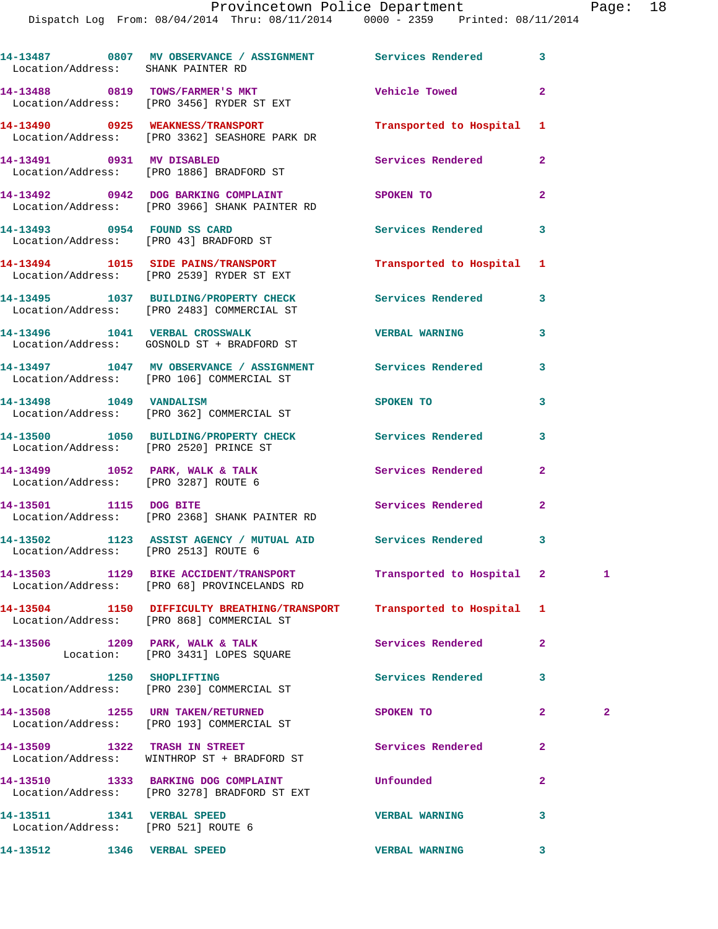## Provincetown Police Department Fage: 18

Dispatch Log From: 08/04/2014 Thru: 08/11/2014 0000 - 2359 Printed: 08/11/2014

| Location/Address: SHANK PAINTER RD                                | 14-13487 0807 MV OBSERVANCE / ASSIGNMENT Services Rendered 3                                                        |                           |                         |              |
|-------------------------------------------------------------------|---------------------------------------------------------------------------------------------------------------------|---------------------------|-------------------------|--------------|
|                                                                   | 14-13488 0819 TOWS/FARMER'S MKT<br>Location/Address: [PRO 3456] RYDER ST EXT                                        | Vehicle Towed             | $\overline{a}$          |              |
|                                                                   | 14-13490 0925 WEAKNESS/TRANSPORT<br>Location/Address: [PRO 3362] SEASHORE PARK DR                                   | Transported to Hospital   | 1                       |              |
|                                                                   | 14-13491 0931 MV DISABLED<br>Location/Address: [PRO 1886] BRADFORD ST                                               | Services Rendered         | $\overline{a}$          |              |
|                                                                   | 14-13492 0942 DOG BARKING COMPLAINT SPOKEN TO<br>Location/Address: [PRO 3966] SHANK PAINTER RD                      |                           | $\overline{a}$          |              |
|                                                                   | 14-13493 0954 FOUND SS CARD<br>Location/Address: [PRO 43] BRADFORD ST                                               | <b>Services Rendered</b>  | 3                       |              |
|                                                                   | 14-13494 1015 SIDE PAINS/TRANSPORT<br>Location/Address: [PRO 2539] RYDER ST EXT                                     | Transported to Hospital 1 |                         |              |
|                                                                   | 14-13495 1037 BUILDING/PROPERTY CHECK Services Rendered<br>Location/Address: [PRO 2483] COMMERCIAL ST               |                           | 3                       |              |
|                                                                   | 14-13496 1041 VERBAL CROSSWALK<br>Location/Address: GOSNOLD ST + BRADFORD ST                                        | <b>VERBAL WARNING</b>     | 3                       |              |
|                                                                   | 14-13497 1047 MV OBSERVANCE / ASSIGNMENT Services Rendered<br>Location/Address: [PRO 106] COMMERCIAL ST             |                           | 3                       |              |
| 14-13498 1049 VANDALISM                                           | Location/Address: [PRO 362] COMMERCIAL ST                                                                           | <b>SPOKEN TO</b>          | 3                       |              |
| Location/Address: [PRO 2520] PRINCE ST                            | 14-13500 1050 BUILDING/PROPERTY CHECK Services Rendered                                                             |                           | 3                       |              |
| Location/Address: [PRO 3287] ROUTE 6                              | 14-13499 1052 PARK, WALK & TALK                                                                                     | Services Rendered         | $\mathbf{2}$            |              |
|                                                                   | 14-13501 1115 DOG BITE<br>Location/Address: [PRO 2368] SHANK PAINTER RD                                             | <b>Services Rendered</b>  | $\overline{\mathbf{2}}$ |              |
| Location/Address: [PRO 2513] ROUTE 6                              | 14-13502 1123 ASSIST AGENCY / MUTUAL AID Services Rendered                                                          |                           | 3                       |              |
|                                                                   | 14-13503 1129 BIKE ACCIDENT/TRANSPORT<br>Location/Address: [PRO 68] PROVINCELANDS RD                                | Transported to Hospital 2 |                         | 1            |
|                                                                   | 14-13504 1150 DIFFICULTY BREATHING/TRANSPORT Transported to Hospital 1<br>Location/Address: [PRO 868] COMMERCIAL ST |                           |                         |              |
|                                                                   | 14-13506 1209 PARK, WALK & TALK<br>Location: [PRO 3431] LOPES SQUARE                                                | Services Rendered         | $\mathbf{2}$            |              |
| 14-13507 1250 SHOPLIFTING                                         | Location/Address: [PRO 230] COMMERCIAL ST                                                                           | <b>Services Rendered</b>  | 3                       |              |
|                                                                   | 14-13508 1255 URN TAKEN/RETURNED<br>Location/Address: [PRO 193] COMMERCIAL ST                                       | SPOKEN TO                 | 2                       | $\mathbf{2}$ |
| 14-13509 1322 TRASH IN STREET                                     | Location/Address: WINTHROP ST + BRADFORD ST                                                                         | Services Rendered         | $\mathbf{2}$            |              |
|                                                                   | 14-13510 1333 BARKING DOG COMPLAINT<br>Location/Address: [PRO 3278] BRADFORD ST EXT                                 | Unfounded                 | $\overline{\mathbf{2}}$ |              |
| 14-13511 1341 VERBAL SPEED<br>Location/Address: [PRO 521] ROUTE 6 |                                                                                                                     | <b>VERBAL WARNING</b>     | 3                       |              |
| 14-13512 1346 VERBAL SPEED                                        |                                                                                                                     | <b>VERBAL WARNING</b>     | 3                       |              |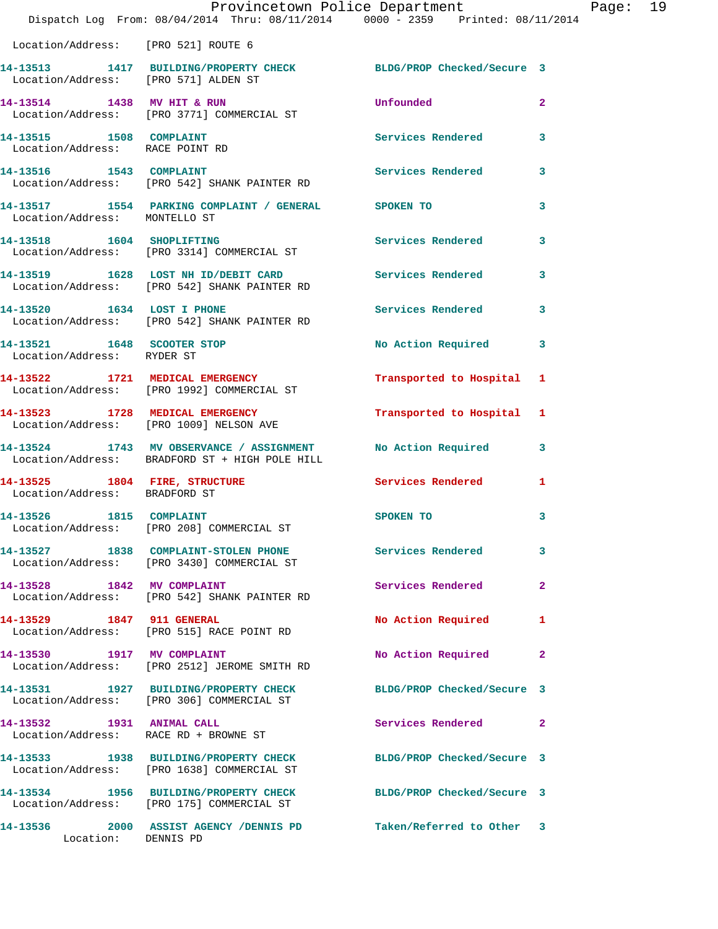|                                                            | Dispatch Log From: 08/04/2014 Thru: 08/11/2014 0000 - 2359 Printed: 08/11/2014                                | Provincetown Police Department | Page: 19     |
|------------------------------------------------------------|---------------------------------------------------------------------------------------------------------------|--------------------------------|--------------|
| Location/Address: [PRO 521] ROUTE 6                        |                                                                                                               |                                |              |
| Location/Address: [PRO 571] ALDEN ST                       | 14-13513 1417 BUILDING/PROPERTY CHECK BLDG/PROP Checked/Secure 3                                              |                                |              |
|                                                            | 14-13514 1438 MV HIT & RUN<br>Location/Address: [PRO 3771] COMMERCIAL ST                                      | <b>Unfounded</b>               | $\mathbf{2}$ |
| 14-13515 1508 COMPLAINT<br>Location/Address: RACE POINT RD |                                                                                                               | Services Rendered 3            |              |
|                                                            | 14-13516 1543 COMPLAINT<br>Location/Address: [PRO 542] SHANK PAINTER RD                                       | Services Rendered 3            |              |
| Location/Address: MONTELLO ST                              | 14-13517 1554 PARKING COMPLAINT / GENERAL SPOKEN TO                                                           |                                | 3            |
|                                                            | 14-13518 1604 SHOPLIFTING<br>Location/Address: [PRO 3314] COMMERCIAL ST                                       | Services Rendered              | $\mathbf{3}$ |
|                                                            | 14-13519 1628 LOST NH ID/DEBIT CARD Services Rendered 3<br>Location/Address: [PRO 542] SHANK PAINTER RD       |                                |              |
|                                                            | 14-13520 1634 LOST I PHONE<br>Location/Address: [PRO 542] SHANK PAINTER RD                                    | Services Rendered 3            |              |
| Location/Address: RYDER ST                                 | 14-13521 1648 SCOOTER STOP                                                                                    | No Action Required 3           |              |
|                                                            | 14-13522 1721 MEDICAL EMERGENCY<br>Location/Address: [PRO 1992] COMMERCIAL ST                                 | Transported to Hospital 1      |              |
|                                                            | 14-13523 1728 MEDICAL EMERGENCY<br>Location/Address: [PRO 1009] NELSON AVE                                    | Transported to Hospital 1      |              |
|                                                            | 14-13524 1743 MV OBSERVANCE / ASSIGNMENT<br>Location/Address: BRADFORD ST + HIGH POLE HILL                    | No Action Required 3           |              |
| Location/Address: BRADFORD ST                              | 14-13525 1804 FIRE, STRUCTURE <b>1208</b> Services Rendered 1                                                 |                                |              |
| 14-13526 1815 COMPLAINT                                    | Location/Address: [PRO 208] COMMERCIAL ST                                                                     | SPOKEN TO                      | $\mathbf{3}$ |
|                                                            | 14-13527 1838 COMPLAINT-STOLEN PHONE Services Rendered<br>Location/Address: [PRO 3430] COMMERCIAL ST          |                                | 3            |
|                                                            | 14-13528 1842 MV COMPLAINT<br>Location/Address: [PRO 542] SHANK PAINTER RD                                    | Services Rendered              | $\mathbf{2}$ |
|                                                            | 14-13529 1847 911 GENERAL<br>Location/Address: [PRO 515] RACE POINT RD                                        | No Action Required             | $\mathbf{1}$ |
|                                                            | 14-13530 1917 MV COMPLAINT<br>Location/Address: [PRO 2512] JEROME SMITH RD                                    | No Action Required             | $\mathbf{2}$ |
|                                                            | 14-13531 1927 BUILDING/PROPERTY CHECK BLDG/PROP Checked/Secure 3<br>Location/Address: [PRO 306] COMMERCIAL ST |                                |              |
| 14-13532 1931 ANIMAL CALL                                  | Location/Address: RACE RD + BROWNE ST                                                                         | Services Rendered 2            |              |
|                                                            | 14-13533 1938 BUILDING/PROPERTY CHECK<br>Location/Address: [PRO 1638] COMMERCIAL ST                           | BLDG/PROP Checked/Secure 3     |              |
|                                                            | 14-13534 1956 BUILDING/PROPERTY CHECK BLDG/PROP Checked/Secure 3<br>Location/Address: [PRO 175] COMMERCIAL ST |                                |              |
| Location: DENNIS PD                                        | 14-13536 2000 ASSIST AGENCY / DENNIS PD                                                                       | Taken/Referred to Other 3      |              |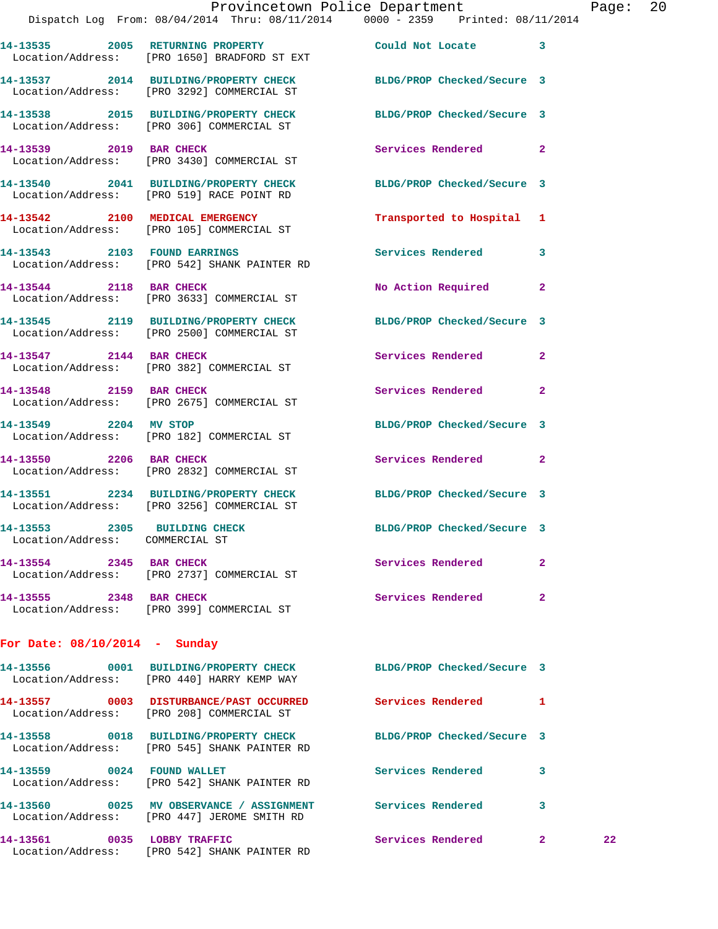|                                                                 | Dispatch Log From: 08/04/2014 Thru: 08/11/2014 0000 - 2359 Printed: 08/11/2014                                   | Provincetown Police Department |              | Page: | 20 |
|-----------------------------------------------------------------|------------------------------------------------------------------------------------------------------------------|--------------------------------|--------------|-------|----|
|                                                                 | 14-13535 2005 RETURNING PROPERTY<br>Location/Address: [PRO 1650] BRADFORD ST EXT                                 | Could Not Locate 3             |              |       |    |
|                                                                 | 14-13537 2014 BUILDING/PROPERTY CHECK BLDG/PROP Checked/Secure 3<br>Location/Address: [PRO 3292] COMMERCIAL ST   |                                |              |       |    |
|                                                                 | 14-13538 2015 BUILDING/PROPERTY CHECK BLDG/PROP Checked/Secure 3<br>Location/Address: [PRO 306] COMMERCIAL ST    |                                |              |       |    |
| 14-13539 2019 BAR CHECK                                         | Location/Address: [PRO 3430] COMMERCIAL ST                                                                       | Services Rendered 2            |              |       |    |
|                                                                 | 14-13540 2041 BUILDING/PROPERTY CHECK<br>Location/Address: [PRO 519] RACE POINT RD                               | BLDG/PROP Checked/Secure 3     |              |       |    |
|                                                                 | 14-13542 2100 MEDICAL EMERGENCY<br>Location/Address: [PRO 105] COMMERCIAL ST                                     | Transported to Hospital 1      |              |       |    |
|                                                                 | 14-13543 2103 FOUND EARRINGS<br>Location/Address: [PRO 542] SHANK PAINTER RD                                     | Services Rendered 3            |              |       |    |
| 14-13544 2118 BAR CHECK                                         | Location/Address: [PRO 3633] COMMERCIAL ST                                                                       | No Action Required 2           |              |       |    |
|                                                                 | 14-13545 2119 BUILDING/PROPERTY CHECK<br>Location/Address: [PRO 2500] COMMERCIAL ST                              | BLDG/PROP Checked/Secure 3     |              |       |    |
|                                                                 | 14-13547 2144 BAR CHECK<br>Location/Address: [PRO 382] COMMERCIAL ST                                             | Services Rendered              | $\mathbf{2}$ |       |    |
|                                                                 | 14-13548 2159 BAR CHECK<br>Location/Address: [PRO 2675] COMMERCIAL ST                                            | Services Rendered 2            |              |       |    |
|                                                                 | 14-13549 2204 MV STOP<br>Location/Address: [PRO 182] COMMERCIAL ST                                               | BLDG/PROP Checked/Secure 3     |              |       |    |
| 14-13550 2206 BAR CHECK                                         | Location/Address: [PRO 2832] COMMERCIAL ST                                                                       | Services Rendered 2            |              |       |    |
|                                                                 | 14-13551 2234 BUILDING/PROPERTY CHECK<br>Location/Address: [PRO 3256] COMMERCIAL ST                              | BLDG/PROP Checked/Secure 3     |              |       |    |
| 14-13553 2305 BUILDING CHECK<br>Location/Address: COMMERCIAL ST |                                                                                                                  | BLDG/PROP Checked/Secure 3     |              |       |    |
|                                                                 | 14-13554 2345 BAR CHECK<br>Location/Address: [PRO 2737] COMMERCIAL ST                                            | Services Rendered 2            |              |       |    |
|                                                                 | 14-13555 2348 BAR CHECK<br>Location/Address: [PRO 399] COMMERCIAL ST                                             | Services Rendered              | $\mathbf{2}$ |       |    |
| For Date: $08/10/2014$ - Sunday                                 |                                                                                                                  |                                |              |       |    |
|                                                                 | 14-13556 0001 BUILDING/PROPERTY CHECK BLDG/PROP Checked/Secure 3<br>Location/Address: [PRO 440] HARRY KEMP WAY   |                                |              |       |    |
|                                                                 | 14-13557 0003 DISTURBANCE/PAST OCCURRED Services Rendered 1<br>Location/Address: [PRO 208] COMMERCIAL ST         |                                |              |       |    |
|                                                                 | 14-13558 0018 BUILDING/PROPERTY CHECK BLDG/PROP Checked/Secure 3<br>Location/Address: [PRO 545] SHANK PAINTER RD |                                |              |       |    |
|                                                                 | 14-13559 0024 FOUND WALLET<br>Location/Address: [PRO 542] SHANK PAINTER RD                                       | Services Rendered              | -3           |       |    |
|                                                                 | 14-13560 0025 MV OBSERVANCE / ASSIGNMENT Services Rendered 3<br>Location/Address: [PRO 447] JEROME SMITH RD      |                                |              |       |    |
| 14-13561 0035 LOBBY TRAFFIC                                     |                                                                                                                  | Services Rendered 2            |              | 22    |    |

Location/Address: [PRO 542] SHANK PAINTER RD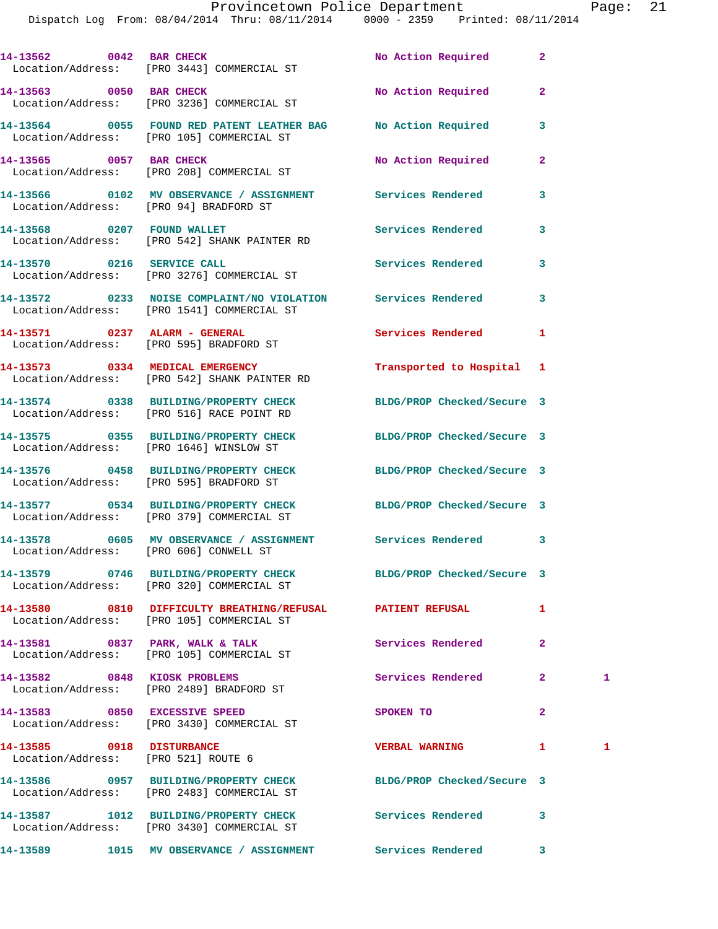Dispatch Log From: 08/04/2014 Thru: 08/11/2014 0000 - 2359 Printed: 08/11/2014

|                                                                  | 14-13562 0042 BAR CHECK<br>Location/Address: [PRO 3443] COMMERCIAL ST                                          | No Action Required         | $\mathbf{2}$   |   |
|------------------------------------------------------------------|----------------------------------------------------------------------------------------------------------------|----------------------------|----------------|---|
|                                                                  | 14-13563 0050 BAR CHECK<br>Location/Address: [PRO 3236] COMMERCIAL ST                                          | No Action Required         | $\mathbf{2}$   |   |
|                                                                  | 14-13564 0055 FOUND RED PATENT LEATHER BAG No Action Required<br>Location/Address: [PRO 105] COMMERCIAL ST     |                            | 3              |   |
|                                                                  | 14-13565 0057 BAR CHECK<br>Location/Address: [PRO 208] COMMERCIAL ST                                           | No Action Required         | $\mathbf{2}$   |   |
| Location/Address: [PRO 94] BRADFORD ST                           | 14-13566 0102 MV OBSERVANCE / ASSIGNMENT Services Rendered                                                     |                            | 3              |   |
|                                                                  | 14-13568 0207 FOUND WALLET<br>Location/Address: [PRO 542] SHANK PAINTER RD                                     | <b>Services Rendered</b>   | 3              |   |
|                                                                  | 14-13570 0216 SERVICE CALL<br>Location/Address: [PRO 3276] COMMERCIAL ST                                       | Services Rendered          | 3              |   |
|                                                                  | 14-13572 0233 NOISE COMPLAINT/NO VIOLATION Services Rendered<br>Location/Address: [PRO 1541] COMMERCIAL ST     |                            | 3              |   |
|                                                                  | 14-13571 0237 ALARM - GENERAL<br>Location/Address: [PRO 595] BRADFORD ST                                       | <b>Services Rendered</b>   | 1              |   |
|                                                                  | 14-13573 0334 MEDICAL EMERGENCY<br>Location/Address: [PRO 542] SHANK PAINTER RD                                | Transported to Hospital 1  |                |   |
|                                                                  | 14-13574 0338 BUILDING/PROPERTY CHECK BLDG/PROP Checked/Secure 3<br>Location/Address: [PRO 516] RACE POINT RD  |                            |                |   |
|                                                                  | 14-13575 0355 BUILDING/PROPERTY CHECK<br>Location/Address: [PRO 1646] WINSLOW ST                               | BLDG/PROP Checked/Secure 3 |                |   |
|                                                                  | 14-13576 0458 BUILDING/PROPERTY CHECK BLDG/PROP Checked/Secure 3<br>Location/Address: [PRO 595] BRADFORD ST    |                            |                |   |
|                                                                  | 14-13577 0534 BUILDING/PROPERTY CHECK BLDG/PROP Checked/Secure 3<br>Location/Address: [PRO 379] COMMERCIAL ST  |                            |                |   |
|                                                                  | 14-13578 0605 MV OBSERVANCE / ASSIGNMENT Services Rendered<br>Location/Address: [PRO 606] CONWELL ST           |                            | 3              |   |
|                                                                  | 14-13579 0746 BUILDING/PROPERTY CHECK<br>Location/Address: [PRO 320] COMMERCIAL ST                             | BLDG/PROP Checked/Secure 3 |                |   |
|                                                                  | 14-13580 0810 DIFFICULTY BREATHING/REFUSAL PATIENT REFUSAL<br>Location/Address: [PRO 105] COMMERCIAL ST        |                            | 1              |   |
|                                                                  | 14-13581 0837 PARK, WALK & TALK<br>Location/Address: [PRO 105] COMMERCIAL ST                                   | Services Rendered          | $\overline{2}$ |   |
| 14-13582 0848 KIOSK PROBLEMS                                     | Location/Address: [PRO 2489] BRADFORD ST                                                                       | Services Rendered          | $\overline{2}$ | 1 |
|                                                                  | 14-13583 0850 EXCESSIVE SPEED<br>Location/Address: [PRO 3430] COMMERCIAL ST                                    | SPOKEN TO                  | $\mathbf{2}$   |   |
| 14-13585 0918 DISTURBANCE<br>Location/Address: [PRO 521] ROUTE 6 |                                                                                                                | <b>VERBAL WARNING</b>      | 1              | 1 |
|                                                                  | 14-13586 0957 BUILDING/PROPERTY CHECK BLDG/PROP Checked/Secure 3<br>Location/Address: [PRO 2483] COMMERCIAL ST |                            |                |   |
|                                                                  | 14-13587 1012 BUILDING/PROPERTY CHECK<br>Location/Address: [PRO 3430] COMMERCIAL ST                            | Services Rendered          | 3              |   |
|                                                                  |                                                                                                                |                            | $\mathbf{3}$   |   |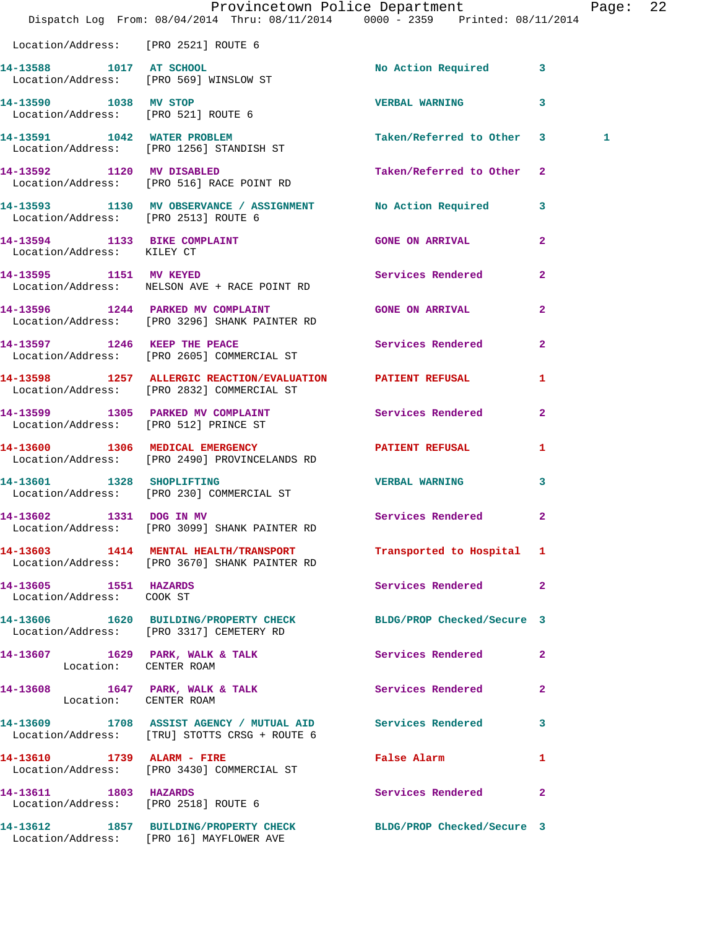|                                                    | Dispatch Log From: 08/04/2014 Thru: 08/11/2014 0000 - 2359 Printed: 08/11/2014                                   | Provincetown Police Department Page: 22     |                         |   |  |
|----------------------------------------------------|------------------------------------------------------------------------------------------------------------------|---------------------------------------------|-------------------------|---|--|
| Location/Address: [PRO 2521] ROUTE 6               |                                                                                                                  |                                             |                         |   |  |
|                                                    | 14-13588 1017 AT SCHOOL<br>Location/Address: [PRO 569] WINSLOW ST                                                | No Action Required 3                        |                         |   |  |
| 14-13590 1038 MV STOP                              | Location/Address: [PRO 521] ROUTE 6                                                                              | <b>VERBAL WARNING</b>                       | $\overline{\mathbf{3}}$ |   |  |
|                                                    | 14-13591 1042 WATER PROBLEM<br>Location/Address: [PRO 1256] STANDISH ST                                          | Taken/Referred to Other 3                   |                         | 1 |  |
|                                                    | 14-13592 1120 MV DISABLED<br>Location/Address: [PRO 516] RACE POINT RD                                           | Taken/Referred to Other 2                   |                         |   |  |
| Location/Address: [PRO 2513] ROUTE 6               | 14-13593 1130 MV OBSERVANCE / ASSIGNMENT No Action Required 3                                                    |                                             |                         |   |  |
|                                                    | 14-13594 1133 BIKE COMPLAINT<br>Location/Address: KILEY CT                                                       | GONE ON ARRIVAL 2                           |                         |   |  |
| 14-13595 1151 MV KEYED                             | Location/Address: NELSON AVE + RACE POINT RD                                                                     | <b>Services Rendered</b>                    | $\mathbf{2}$            |   |  |
|                                                    | 14-13596 1244 PARKED MV COMPLAINT<br>Location/Address: [PRO 3296] SHANK PAINTER RD                               | <b>GONE ON ARRIVAL</b>                      | $\mathbf{2}$            |   |  |
|                                                    | 14-13597 1246 KEEP THE PEACE<br>Location/Address: [PRO 2605] COMMERCIAL ST                                       | Services Rendered                           | $\mathbf{2}$            |   |  |
|                                                    | 14-13598 1257 ALLERGIC REACTION/EVALUATION PATIENT REFUSAL 1<br>Location/Address: [PRO 2832] COMMERCIAL ST       |                                             |                         |   |  |
|                                                    | 14-13599 1305 PARKED MV COMPLAINT Services Rendered<br>Location/Address: [PRO 512] PRINCE ST                     |                                             | $\mathbf{2}$            |   |  |
|                                                    | 14-13600 1306 MEDICAL EMERGENCY 1 PATIENT REFUSAL 1<br>Location/Address: [PRO 2490] PROVINCELANDS RD             |                                             |                         |   |  |
| 14-13601 1328 SHOPLIFTING                          | Location/Address: [PRO 230] COMMERCIAL ST                                                                        | <b>VERBAL WARNING</b>                       | 3                       |   |  |
| 14-13602 1331 DOG IN MV                            | Location/Address: [PRO 3099] SHANK PAINTER RD                                                                    | Services Rendered 2                         |                         |   |  |
|                                                    | 14-13603 1414 MENTAL HEALTH/TRANSPORT Transported to Hospital 1<br>Location/Address: [PRO 3670] SHANK PAINTER RD |                                             |                         |   |  |
| 14-13605 1551 HAZARDS<br>Location/Address: COOK ST |                                                                                                                  | Services Rendered                           | $\mathbf{2}$            |   |  |
|                                                    | 14-13606 1620 BUILDING/PROPERTY CHECK BLDG/PROP Checked/Secure 3<br>Location/Address: [PRO 3317] CEMETERY RD     |                                             |                         |   |  |
| Location: CENTER ROAM                              | 14-13607 1629 PARK, WALK & TALK                                                                                  | Services Rendered                           | $\mathbf{2}$            |   |  |
| Location: CENTER ROAM                              | 14-13608 1647 PARK, WALK & TALK Services Rendered                                                                |                                             | $\mathbf{2}$            |   |  |
|                                                    | 14-13609 1708 ASSIST AGENCY / MUTUAL AID Services Rendered 3<br>Location/Address: [TRU] STOTTS CRSG + ROUTE 6    |                                             |                         |   |  |
|                                                    | 14-13610 1739 ALARM - FIRE<br>Location/Address: [PRO 3430] COMMERCIAL ST                                         | False Alarm <b>Exercise Service Service</b> | 1                       |   |  |
| 14-13611 1803 HAZARDS                              | Location/Address: [PRO 2518] ROUTE 6                                                                             | <b>Services Rendered</b> 2                  |                         |   |  |
|                                                    | 14-13612 1857 BUILDING/PROPERTY CHECK BLDG/PROP Checked/Secure 3<br>Location/Address: [PRO 16] MAYFLOWER AVE     |                                             |                         |   |  |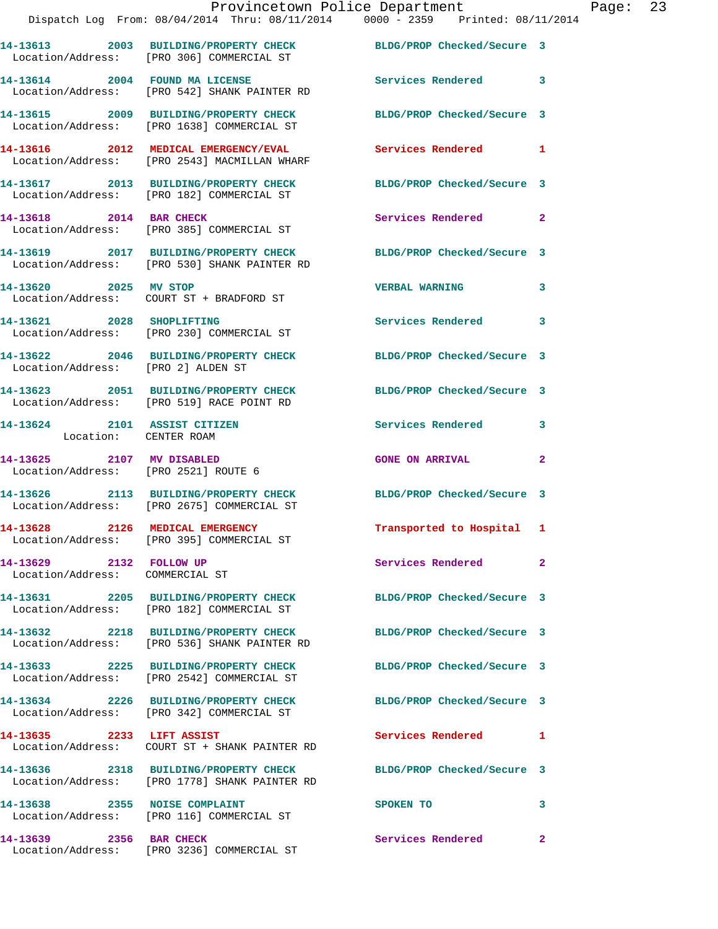|                                                                   |                                                                                                                | Provincetown Police Department | F |
|-------------------------------------------------------------------|----------------------------------------------------------------------------------------------------------------|--------------------------------|---|
|                                                                   | Dispatch Log From: 08/04/2014 Thru: 08/11/2014 0000 - 2359 Printed: 08/11/2014                                 |                                |   |
|                                                                   | 14-13613 2003 BUILDING/PROPERTY CHECK BLDG/PROP Checked/Secure 3<br>Location/Address: [PRO 306] COMMERCIAL ST  |                                |   |
|                                                                   | 14-13614 2004 FOUND MA LICENSE<br>Location/Address: [PRO 542] SHANK PAINTER RD                                 | <b>Services Rendered</b>       | 3 |
|                                                                   | 14-13615 2009 BUILDING/PROPERTY CHECK<br>Location/Address: [PRO 1638] COMMERCIAL ST                            | BLDG/PROP Checked/Secure 3     |   |
|                                                                   | 14-13616 2012 MEDICAL EMERGENCY/EVAL<br>Location/Address: [PRO 2543] MACMILLAN WHARF                           | <b>Services Rendered</b>       | 1 |
|                                                                   | 14-13617 2013 BUILDING/PROPERTY CHECK<br>Location/Address: [PRO 182] COMMERCIAL ST                             | BLDG/PROP Checked/Secure 3     |   |
|                                                                   | 14-13618 2014 BAR CHECK<br>Location/Address: [PRO 385] COMMERCIAL ST                                           | Services Rendered              | 2 |
|                                                                   | 14-13619 2017 BUILDING/PROPERTY CHECK<br>Location/Address: [PRO 530] SHANK PAINTER RD                          | BLDG/PROP Checked/Secure 3     |   |
|                                                                   | 14-13620 2025 MV STOP<br>Location/Address: COURT ST + BRADFORD ST                                              | <b>VERBAL WARNING</b>          | 3 |
| 14-13621 2028 SHOPLIFTING                                         | Location/Address: [PRO 230] COMMERCIAL ST                                                                      | <b>Services Rendered</b>       | 3 |
| Location/Address: [PRO 2] ALDEN ST                                | 14-13622 2046 BUILDING/PROPERTY CHECK BLDG/PROP Checked/Secure 3                                               |                                |   |
|                                                                   | 14-13623 2051 BUILDING/PROPERTY CHECK BLDG/PROP Checked/Secure 3<br>Location/Address: [PRO 519] RACE POINT RD  |                                |   |
| 14-13624 2101 ASSIST CITIZEN<br>Location: CENTER ROAM             |                                                                                                                | Services Rendered              | 3 |
| 14-13625 2107 MV DISABLED<br>Location/Address: [PRO 2521] ROUTE 6 |                                                                                                                | <b>GONE ON ARRIVAL</b>         | 2 |
|                                                                   | 14-13626 2113 BUILDING/PROPERTY CHECK BLDG/PROP Checked/Secure 3<br>Location/Address: [PRO 2675] COMMERCIAL ST |                                |   |
| 14-13628 2126 MEDICAL EMERGENCY                                   | Location/Address: [PRO 395] COMMERCIAL ST                                                                      | Transported to Hospital 1      |   |
| 14-13629 2132 FOLLOW UP<br>Location/Address: COMMERCIAL ST        |                                                                                                                | Services Rendered              | 2 |
|                                                                   | 14-13631 2205 BUILDING/PROPERTY CHECK<br>Location/Address: [PRO 182] COMMERCIAL ST                             | BLDG/PROP Checked/Secure 3     |   |
|                                                                   | 14-13632 2218 BUILDING/PROPERTY CHECK<br>Location/Address: [PRO 536] SHANK PAINTER RD                          | BLDG/PROP Checked/Secure 3     |   |
|                                                                   | 14-13633 2225 BUILDING/PROPERTY CHECK<br>Location/Address: [PRO 2542] COMMERCIAL ST                            | BLDG/PROP Checked/Secure 3     |   |
|                                                                   | 14-13634 2226 BUILDING/PROPERTY CHECK<br>Location/Address: [PRO 342] COMMERCIAL ST                             | BLDG/PROP Checked/Secure 3     |   |
| 14-13635 2233 LIFT ASSIST                                         |                                                                                                                | Services Rendered              | 1 |
|                                                                   | 14-13636 2318 BUILDING/PROPERTY CHECK<br>Location/Address: [PRO 1778] SHANK PAINTER RD                         | BLDG/PROP Checked/Secure 3     |   |

**14-13638 2355 NOISE COMPLAINT SPOKEN TO 3**  Location/Address: [PRO 116] COMMERCIAL ST

Location/Address: [PRO 3236] COMMERCIAL ST

**14-13639 2356 BAR CHECK Services Rendered 2** 

Page: 23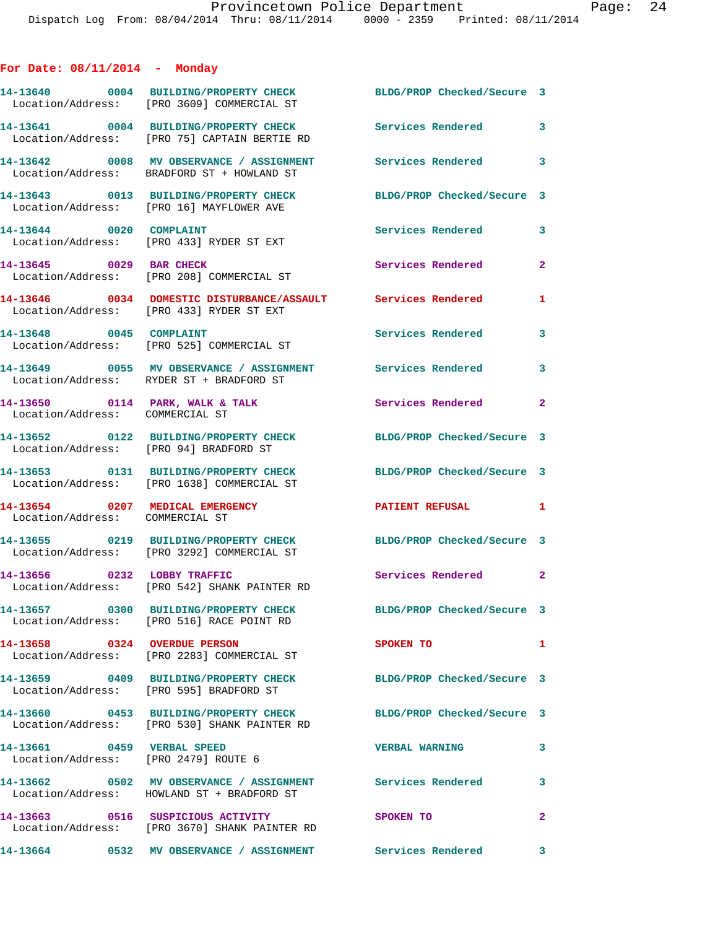|  |  | For Date: $08/11/2014$ |  | Monday |
|--|--|------------------------|--|--------|
|--|--|------------------------|--|--------|

|                                                                      | 14-13640 0004 BUILDING/PROPERTY CHECK<br>Location/Address: [PRO 3609] COMMERCIAL ST                              | BLDG/PROP Checked/Secure 3 |                |
|----------------------------------------------------------------------|------------------------------------------------------------------------------------------------------------------|----------------------------|----------------|
|                                                                      | 14-13641 0004 BUILDING/PROPERTY CHECK<br>Location/Address: [PRO 75] CAPTAIN BERTIE RD                            | <b>Services Rendered</b>   | $\mathbf{3}$   |
|                                                                      | 14-13642 0008 MV OBSERVANCE / ASSIGNMENT<br>Location/Address: BRADFORD ST + HOWLAND ST                           | Services Rendered 3        |                |
|                                                                      | 14-13643 0013 BUILDING/PROPERTY CHECK<br>Location/Address: [PRO 16] MAYFLOWER AVE                                | BLDG/PROP Checked/Secure 3 |                |
| 14-13644 0020 COMPLAINT                                              | Location/Address: [PRO 433] RYDER ST EXT                                                                         | Services Rendered          | $\mathbf{3}$   |
| 14-13645 0029 BAR CHECK                                              | Location/Address: [PRO 208] COMMERCIAL ST                                                                        | Services Rendered          | $\overline{a}$ |
|                                                                      | 14-13646 0034 DOMESTIC DISTURBANCE/ASSAULT Services Rendered<br>Location/Address: [PRO 433] RYDER ST EXT         |                            | $\mathbf{1}$   |
| 14-13648 0045 COMPLAINT                                              | Location/Address: [PRO 525] COMMERCIAL ST                                                                        | Services Rendered          | 3              |
|                                                                      | 14-13649 0055 MV OBSERVANCE / ASSIGNMENT Services Rendered<br>Location/Address: RYDER ST + BRADFORD ST           |                            | 3              |
| Location/Address: COMMERCIAL ST                                      | 14-13650 0114 PARK, WALK & TALK                                                                                  | Services Rendered          | $\overline{2}$ |
| Location/Address: [PRO 94] BRADFORD ST                               | 14-13652 0122 BUILDING/PROPERTY CHECK                                                                            | BLDG/PROP Checked/Secure 3 |                |
|                                                                      | 14-13653 0131 BUILDING/PROPERTY CHECK<br>Location/Address: [PRO 1638] COMMERCIAL ST                              | BLDG/PROP Checked/Secure 3 |                |
| 14-13654 0207 MEDICAL EMERGENCY<br>Location/Address: COMMERCIAL ST   |                                                                                                                  | <b>PATIENT REFUSAL</b>     | 1              |
|                                                                      | 14-13655 0219 BUILDING/PROPERTY CHECK<br>Location/Address: [PRO 3292] COMMERCIAL ST                              | BLDG/PROP Checked/Secure 3 |                |
| 14-13656 0232 LOBBY TRAFFIC                                          | Location/Address: [PRO 542] SHANK PAINTER RD                                                                     | Services Rendered 2        |                |
|                                                                      | 14-13657 0300 BUILDING/PROPERTY CHECK<br>Location/Address: [PRO 516] RACE POINT RD                               | BLDG/PROP Checked/Secure 3 |                |
| 14-13658 0324 OVERDUE PERSON                                         | Location/Address: [PRO 2283] COMMERCIAL ST                                                                       | <b>SPOKEN TO</b>           | $\mathbf{1}$   |
|                                                                      | 14-13659 0409 BUILDING/PROPERTY CHECK<br>Location/Address: [PRO 595] BRADFORD ST                                 | BLDG/PROP Checked/Secure 3 |                |
|                                                                      | 14-13660 0453 BUILDING/PROPERTY CHECK BLDG/PROP Checked/Secure 3<br>Location/Address: [PRO 530] SHANK PAINTER RD |                            |                |
| 14-13661  0459  VERBAL SPEED<br>Location/Address: [PRO 2479] ROUTE 6 |                                                                                                                  | <b>VERBAL WARNING</b>      | $\mathbf{3}$   |
|                                                                      | 14-13662 0502 MV OBSERVANCE / ASSIGNMENT Services Rendered<br>Location/Address: HOWLAND ST + BRADFORD ST         |                            | $\mathbf{3}$   |
|                                                                      | 14-13663 0516 SUSPICIOUS ACTIVITY<br>Location/Address: [PRO 3670] SHANK PAINTER RD                               | <b>SPOKEN TO</b>           | $\overline{2}$ |
|                                                                      | 14-13664 0532 MV OBSERVANCE / ASSIGNMENT                                                                         | Services Rendered 3        |                |